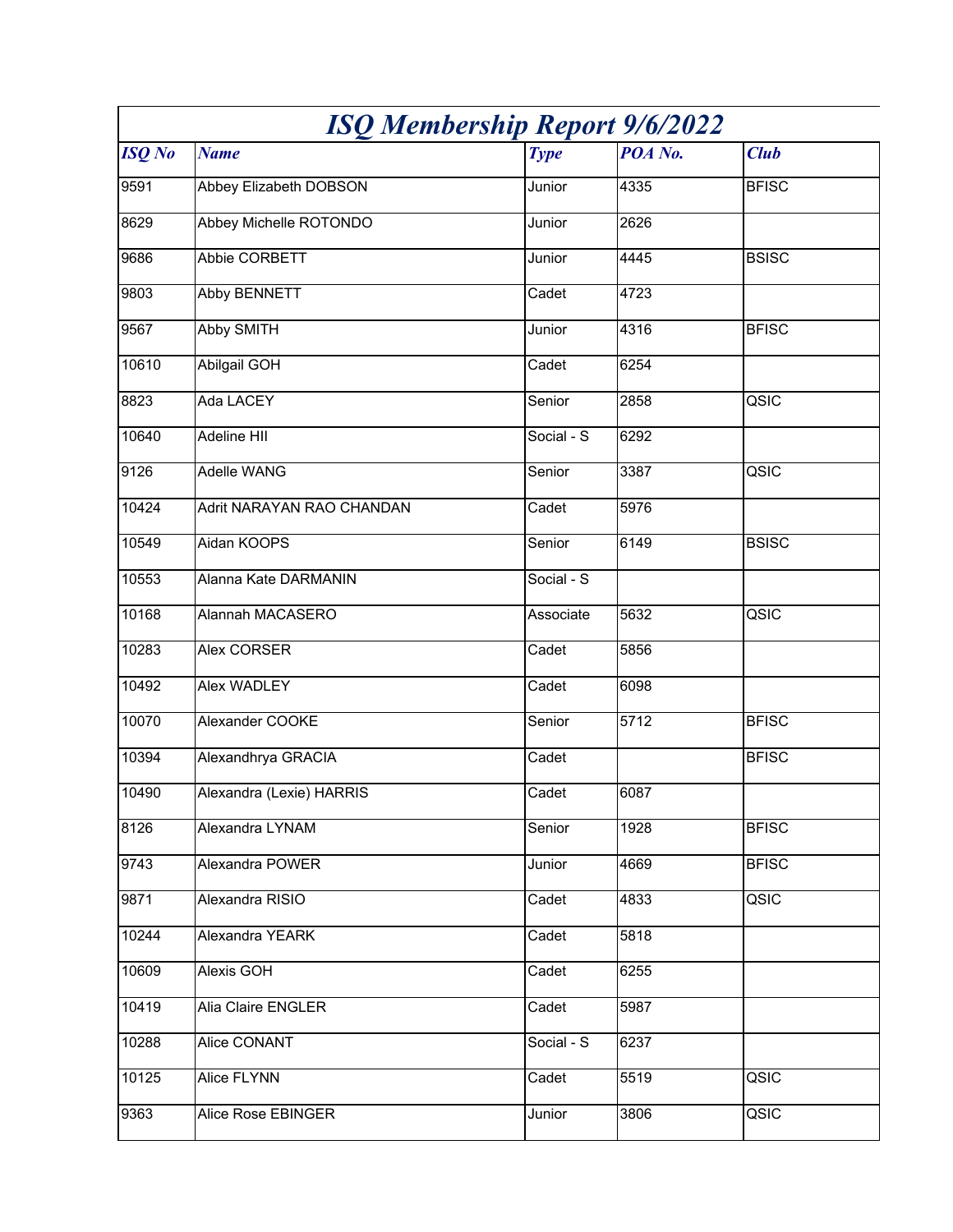| <b>ISQ Membership Report 9/6/2022</b> |                           |                                |         |              |
|---------------------------------------|---------------------------|--------------------------------|---------|--------------|
| <b>ISQ</b> No                         | <b>Name</b>               | <b>Type</b>                    | POA No. | <b>Club</b>  |
| 9591                                  | Abbey Elizabeth DOBSON    | Junior                         | 4335    | <b>BFISC</b> |
| 8629                                  | Abbey Michelle ROTONDO    | Junior                         | 2626    |              |
| 9686                                  | Abbie CORBETT             | Junior                         | 4445    | <b>BSISC</b> |
| 9803                                  | <b>Abby BENNETT</b>       | Cadet                          | 4723    |              |
| 9567                                  | <b>Abby SMITH</b>         | Junior                         | 4316    | <b>BFISC</b> |
| 10610                                 | <b>Abilgail GOH</b>       | Cadet                          | 6254    |              |
| 8823                                  | Ada LACEY                 | Senior                         | 2858    | QSIC         |
| 10640                                 | <b>Adeline HII</b>        | Social - S                     | 6292    |              |
| 9126                                  | Adelle WANG               | Senior                         | 3387    | QSIC         |
| 10424                                 | Adrit NARAYAN RAO CHANDAN | Cadet                          | 5976    |              |
| 10549                                 | Aidan KOOPS               | Senior                         | 6149    | <b>BSISC</b> |
| 10553                                 | Alanna Kate DARMANIN      | $\overline{\text{Social}}$ - S |         |              |
| 10168                                 | Alannah MACASERO          | Associate                      | 5632    | QSIC         |
| 10283                                 | Alex CORSER               | Cadet                          | 5856    |              |
| 10492                                 | Alex WADLEY               | Cadet                          | 6098    |              |
| 10070                                 | Alexander COOKE           | Senior                         | 5712    | <b>BFISC</b> |
| 10394                                 | Alexandhrya GRACIA        | Cadet                          |         | <b>BFISC</b> |
| 10490                                 | Alexandra (Lexie) HARRIS  | Cadet                          | 6087    |              |
| 8126                                  | Alexandra LYNAM           | Senior                         | 1928    | <b>BFISC</b> |
| 9743                                  | Alexandra POWER           | Junior                         | 4669    | <b>BFISC</b> |
| 9871                                  | Alexandra RISIO           | Cadet                          | 4833    | QSIC         |
| 10244                                 | Alexandra YEARK           | Cadet                          | 5818    |              |
| 10609                                 | Alexis GOH                | Cadet                          | 6255    |              |
| 10419                                 | Alia Claire ENGLER        | Cadet                          | 5987    |              |
| 10288                                 | Alice CONANT              | Social - S                     | 6237    |              |
| 10125                                 | Alice FLYNN               | Cadet                          | 5519    | QSIC         |
| 9363                                  | Alice Rose EBINGER        | Junior                         | 3806    | QSIC         |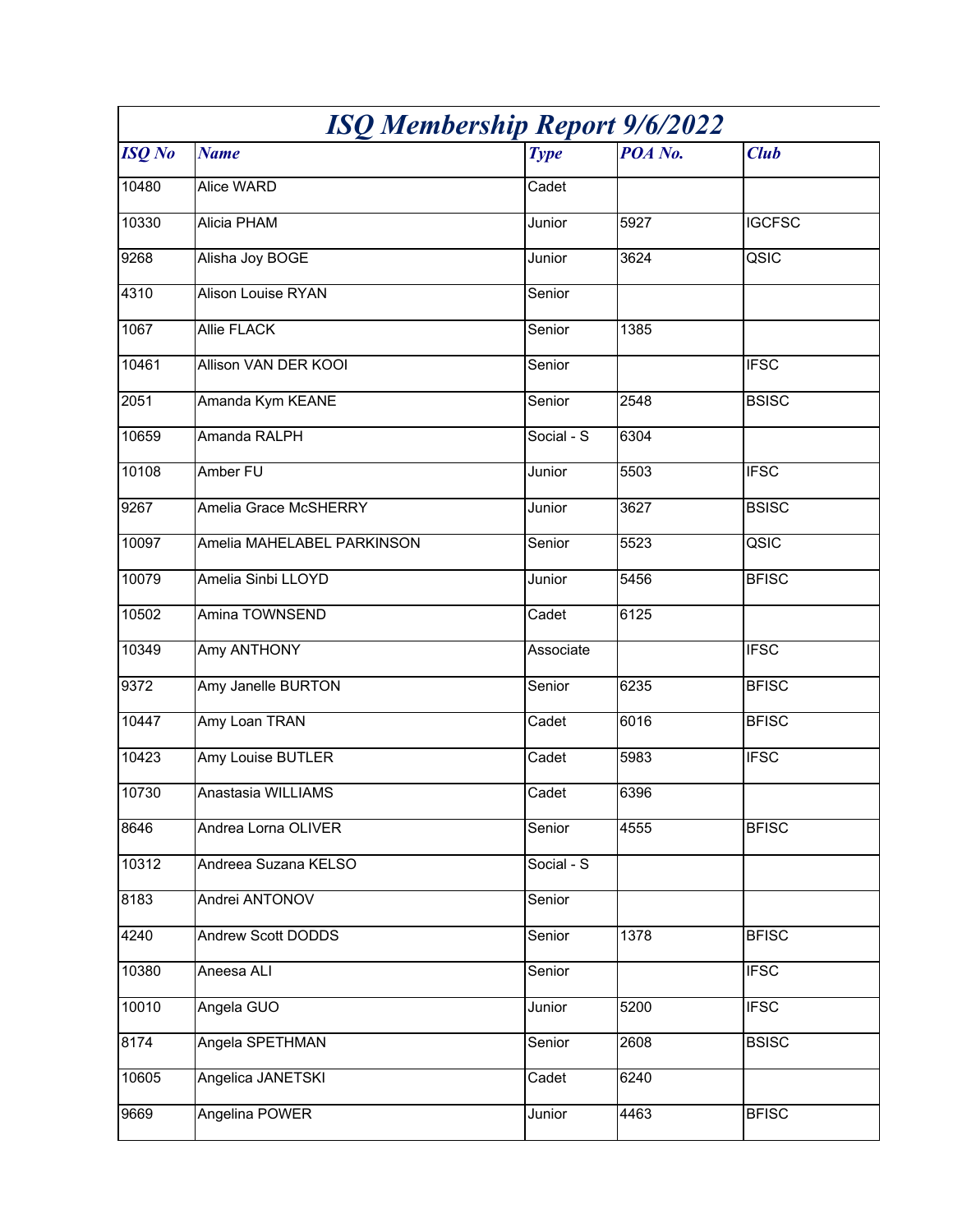| <b>ISQ Membership Report 9/6/2022</b> |                            |             |         |               |
|---------------------------------------|----------------------------|-------------|---------|---------------|
| <b>ISQ</b> No                         | <b>Name</b>                | <b>Type</b> | POA No. | <b>Club</b>   |
| 10480                                 | Alice WARD                 | Cadet       |         |               |
| 10330                                 | Alicia PHAM                | Junior      | 5927    | <b>IGCFSC</b> |
| 9268                                  | Alisha Joy BOGE            | Junior      | 3624    | QSIC          |
| 4310                                  | Alison Louise RYAN         | Senior      |         |               |
| 1067                                  | Allie FLACK                | Senior      | 1385    |               |
| 10461                                 | Allison VAN DER KOOI       | Senior      |         | <b>IFSC</b>   |
| 2051                                  | Amanda Kym KEANE           | Senior      | 2548    | <b>BSISC</b>  |
| 10659                                 | Amanda RALPH               | Social - S  | 6304    |               |
| 10108                                 | Amber FU                   | Junior      | 5503    | <b>IFSC</b>   |
| 9267                                  | Amelia Grace McSHERRY      | Junior      | 3627    | <b>BSISC</b>  |
| 10097                                 | Amelia MAHELABEL PARKINSON | Senior      | 5523    | QSIC          |
| 10079                                 | Amelia Sinbi LLOYD         | Junior      | 5456    | <b>BFISC</b>  |
| 10502                                 | Amina TOWNSEND             | Cadet       | 6125    |               |
| 10349                                 | Amy ANTHONY                | Associate   |         | <b>IFSC</b>   |
| 9372                                  | Amy Janelle BURTON         | Senior      | 6235    | <b>BFISC</b>  |
| 10447                                 | Amy Loan TRAN              | Cadet       | 6016    | <b>BFISC</b>  |
| 10423                                 | Amy Louise BUTLER          | Cadet       | 5983    | <b>IFSC</b>   |
| 10730                                 | Anastasia WILLIAMS         | Cadet       | 6396    |               |
| 8646                                  | Andrea Lorna OLIVER        | Senior      | 4555    | <b>BFISC</b>  |
| 10312                                 | Andreea Suzana KELSO       | Social - S  |         |               |
| 8183                                  | Andrei ANTONOV             | Senior      |         |               |
| 4240                                  | Andrew Scott DODDS         | Senior      | 1378    | <b>BFISC</b>  |
| 10380                                 | Aneesa ALI                 | Senior      |         | <b>IFSC</b>   |
| 10010                                 | Angela GUO                 | Junior      | 5200    | <b>IFSC</b>   |
| 8174                                  | Angela SPETHMAN            | Senior      | 2608    | <b>BSISC</b>  |
| 10605                                 | Angelica JANETSKI          | Cadet       | 6240    |               |
| 9669                                  | Angelina POWER             | Junior      | 4463    | <b>BFISC</b>  |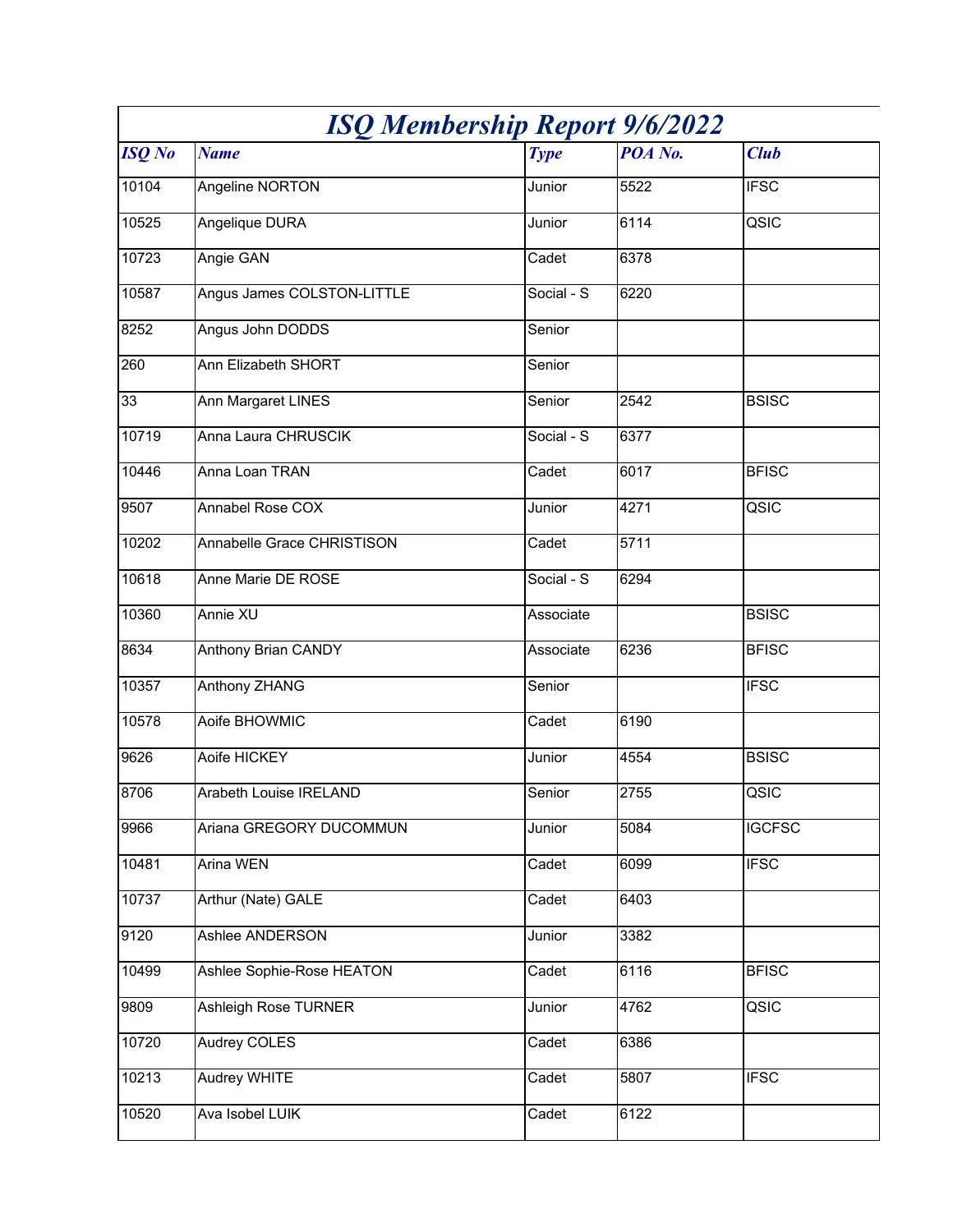| <b>ISQ Membership Report 9/6/2022</b> |                                   |                         |         |               |
|---------------------------------------|-----------------------------------|-------------------------|---------|---------------|
| <b>ISQ</b> No                         | <b>Name</b>                       | <b>Type</b>             | POA No. | <b>Club</b>   |
| 10104                                 | Angeline NORTON                   | Junior                  | 5522    | <b>IFSC</b>   |
| 10525                                 | <b>Angelique DURA</b>             | Junior                  | 6114    | QSIC          |
| 10723                                 | Angie GAN                         | Cadet                   | 6378    |               |
| 10587                                 | Angus James COLSTON-LITTLE        | Social - $\overline{S}$ | 6220    |               |
| 8252                                  | Angus John DODDS                  | Senior                  |         |               |
| 260                                   | Ann Elizabeth SHORT               | Senior                  |         |               |
| 33                                    | Ann Margaret LINES                | Senior                  | 2542    | <b>BSISC</b>  |
| 10719                                 | Anna Laura CHRUSCIK               | Social - S              | 6377    |               |
| 10446                                 | Anna Loan TRAN                    | Cadet                   | 6017    | <b>BFISC</b>  |
| 9507                                  | Annabel Rose COX                  | Junior                  | 4271    | QSIC          |
| 10202                                 | <b>Annabelle Grace CHRISTISON</b> | Cadet                   | 5711    |               |
| 10618                                 | Anne Marie DE ROSE                | Social - S              | 6294    |               |
| 10360                                 | Annie XU                          | Associate               |         | <b>BSISC</b>  |
| 8634                                  | <b>Anthony Brian CANDY</b>        | Associate               | 6236    | <b>BFISC</b>  |
| 10357                                 | Anthony ZHANG                     | Senior                  |         | <b>IFSC</b>   |
| 10578                                 | Aoife BHOWMIC                     | Cadet                   | 6190    |               |
| 9626                                  | Aoife HICKEY                      | Junior                  | 4554    | <b>BSISC</b>  |
| 8706                                  | Arabeth Louise IRELAND            | Senior                  | 2755    | QSIC          |
| 9966                                  | Ariana GREGORY DUCOMMUN           | Junior                  | 5084    | <b>IGCFSC</b> |
| 10481                                 | <b>Arina WEN</b>                  | Cadet                   | 6099    | <b>IFSC</b>   |
| 10737                                 | Arthur (Nate) GALE                | Cadet                   | 6403    |               |
| 9120                                  | Ashlee ANDERSON                   | Junior                  | 3382    |               |
| 10499                                 | Ashlee Sophie-Rose HEATON         | Cadet                   | 6116    | <b>BFISC</b>  |
| 9809                                  | Ashleigh Rose TURNER              | Junior                  | 4762    | QSIC          |
| 10720                                 | <b>Audrey COLES</b>               | Cadet                   | 6386    |               |
| 10213                                 | Audrey WHITE                      | Cadet                   | 5807    | <b>IFSC</b>   |
| 10520                                 | Ava Isobel LUIK                   | Cadet                   | 6122    |               |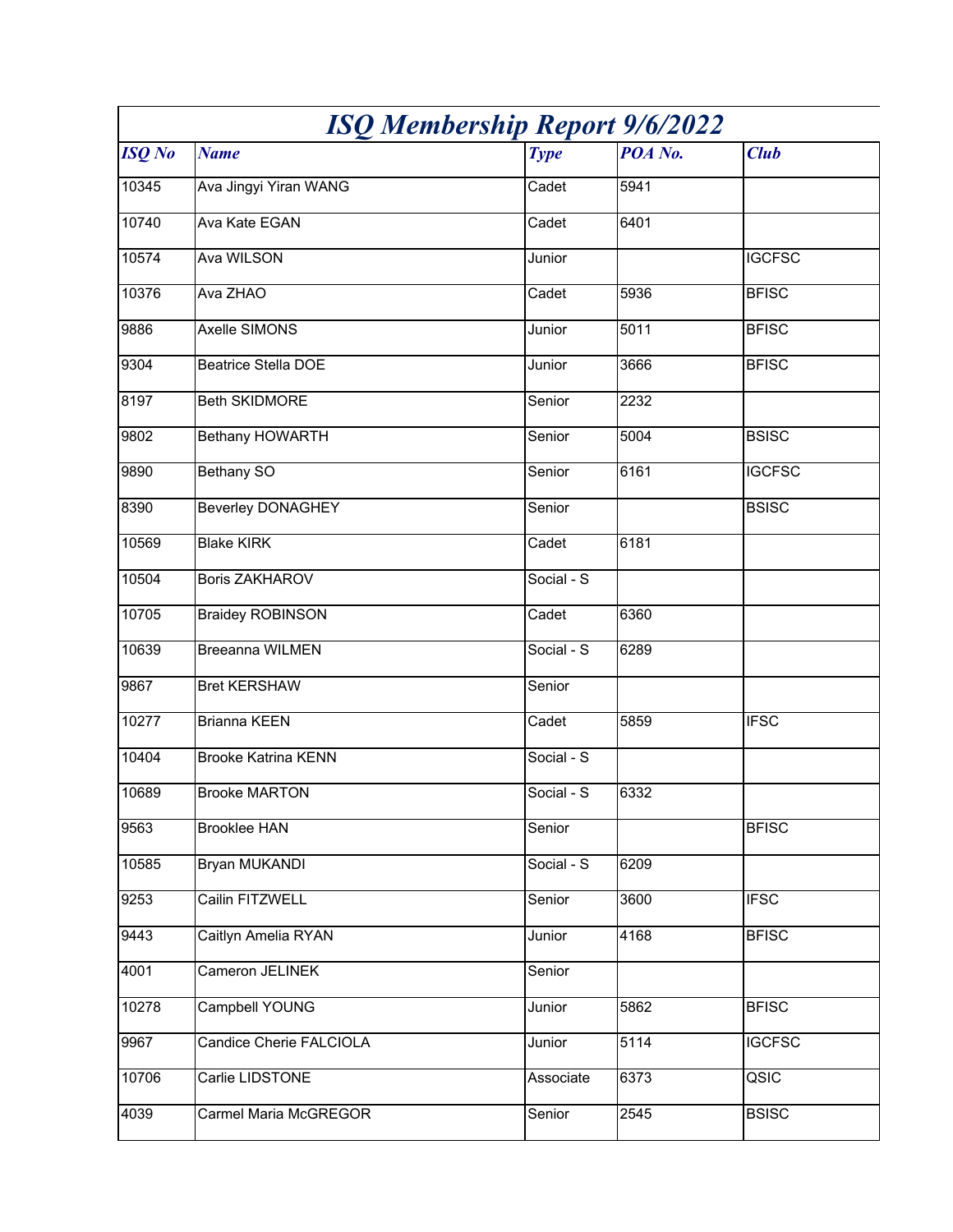| <b>ISQ Membership Report 9/6/2022</b> |                            |             |         |               |
|---------------------------------------|----------------------------|-------------|---------|---------------|
| <b>ISQ</b> No                         | <b>Name</b>                | <b>Type</b> | POA No. | <b>Club</b>   |
| 10345                                 | Ava Jingyi Yiran WANG      | Cadet       | 5941    |               |
| 10740                                 | <b>Ava Kate EGAN</b>       | Cadet       | 6401    |               |
| 10574                                 | Ava WILSON                 | Junior      |         | <b>IGCFSC</b> |
| 10376                                 | Ava ZHAO                   | Cadet       | 5936    | <b>BFISC</b>  |
| 9886                                  | Axelle SIMONS              | Junior      | 5011    | <b>BFISC</b>  |
| 9304                                  | <b>Beatrice Stella DOE</b> | Junior      | 3666    | <b>BFISC</b>  |
| 8197                                  | <b>Beth SKIDMORE</b>       | Senior      | 2232    |               |
| 9802                                  | <b>Bethany HOWARTH</b>     | Senior      | 5004    | <b>BSISC</b>  |
| 9890                                  | <b>Bethany SO</b>          | Senior      | 6161    | <b>IGCFSC</b> |
| 8390                                  | <b>Beverley DONAGHEY</b>   | Senior      |         | <b>BSISC</b>  |
| 10569                                 | <b>Blake KIRK</b>          | Cadet       | 6181    |               |
| 10504                                 | <b>Boris ZAKHAROV</b>      | Social - S  |         |               |
| 10705                                 | <b>Braidey ROBINSON</b>    | Cadet       | 6360    |               |
| 10639                                 | <b>Breeanna WILMEN</b>     | Social - S  | 6289    |               |
| 9867                                  | <b>Bret KERSHAW</b>        | Senior      |         |               |
| 10277                                 | <b>Brianna KEEN</b>        | Cadet       | 5859    | <b>IFSC</b>   |
| 10404                                 | <b>Brooke Katrina KENN</b> | Social - S  |         |               |
| 10689                                 | <b>Brooke MARTON</b>       | Social - S  | 6332    |               |
| 9563                                  | <b>Brooklee HAN</b>        | Senior      |         | <b>BFISC</b>  |
| 10585                                 | Bryan MUKANDI              | Social - S  | 6209    |               |
| 9253                                  | Cailin FITZWELL            | Senior      | 3600    | <b>IFSC</b>   |
| 9443                                  | Caitlyn Amelia RYAN        | Junior      | 4168    | <b>BFISC</b>  |
| 4001                                  | Cameron JELINEK            | Senior      |         |               |
| 10278                                 | <b>Campbell YOUNG</b>      | Junior      | 5862    | <b>BFISC</b>  |
| 9967                                  | Candice Cherie FALCIOLA    | Junior      | 5114    | <b>IGCFSC</b> |
| 10706                                 | Carlie LIDSTONE            | Associate   | 6373    | QSIC          |
| 4039                                  | Carmel Maria McGREGOR      | Senior      | 2545    | <b>BSISC</b>  |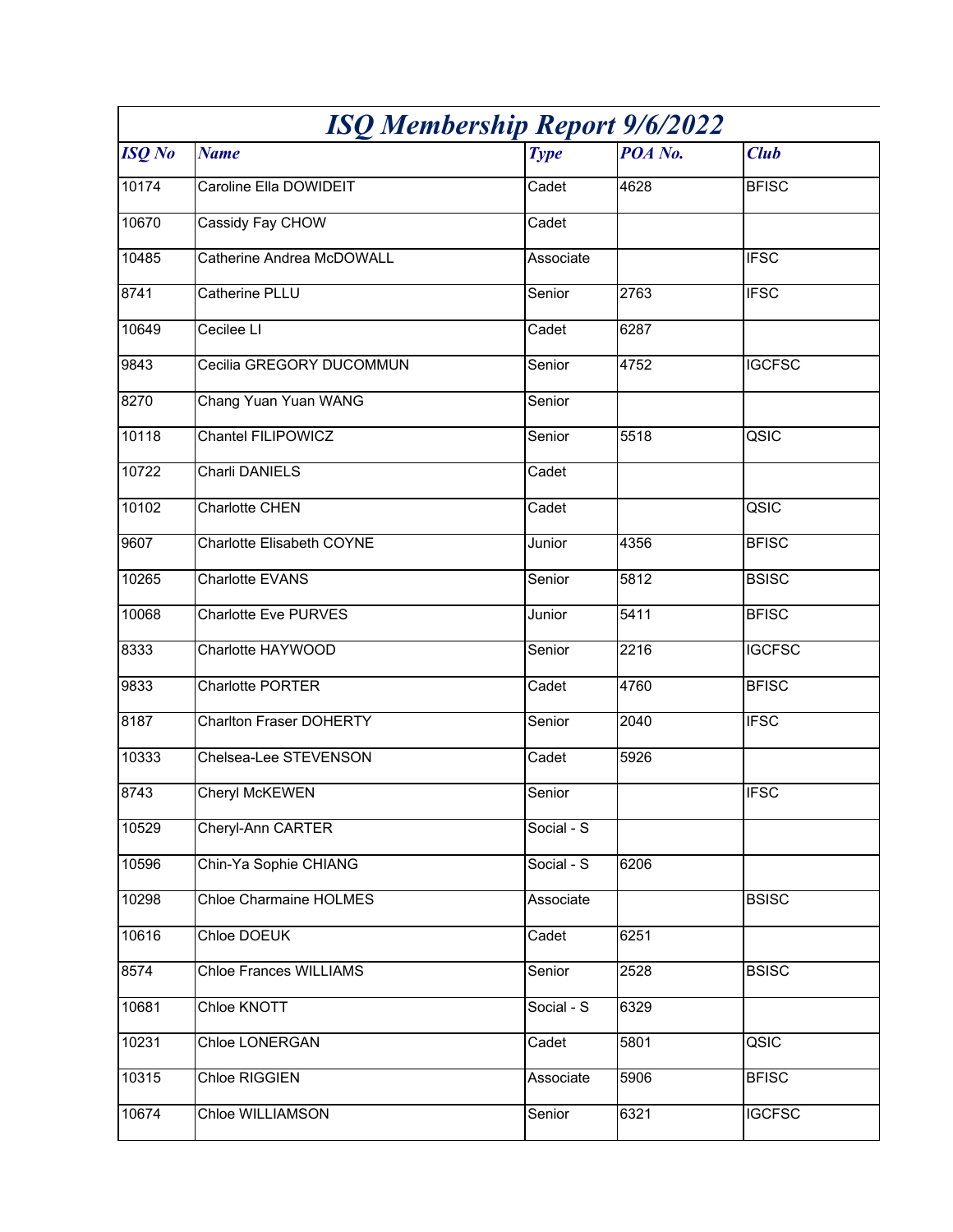| <b>ISQ Membership Report 9/6/2022</b> |                                |             |         |               |
|---------------------------------------|--------------------------------|-------------|---------|---------------|
| <b>ISQ</b> No                         | <b>Name</b>                    | <b>Type</b> | POA No. | <b>Club</b>   |
| 10174                                 | Caroline Ella DOWIDEIT         | Cadet       | 4628    | <b>BFISC</b>  |
| 10670                                 | Cassidy Fay CHOW               | Cadet       |         |               |
| 10485                                 | Catherine Andrea McDOWALL      | Associate   |         | <b>IFSC</b>   |
| 8741                                  | Catherine PLLU                 | Senior      | 2763    | <b>IFSC</b>   |
| 10649                                 | Cecilee LI                     | Cadet       | 6287    |               |
| 9843                                  | Cecilia GREGORY DUCOMMUN       | Senior      | 4752    | <b>IGCFSC</b> |
| 8270                                  | Chang Yuan Yuan WANG           | Senior      |         |               |
| 10118                                 | <b>Chantel FILIPOWICZ</b>      | Senior      | 5518    | QSIC          |
| 10722                                 | Charli DANIELS                 | Cadet       |         |               |
| 10102                                 | Charlotte CHEN                 | Cadet       |         | QSIC          |
| 9607                                  | Charlotte Elisabeth COYNE      | Junior      | 4356    | <b>BFISC</b>  |
| 10265                                 | Charlotte EVANS                | Senior      | 5812    | <b>BSISC</b>  |
| 10068                                 | Charlotte Eve PURVES           | Junior      | 5411    | <b>BFISC</b>  |
| 8333                                  | Charlotte HAYWOOD              | Senior      | 2216    | <b>IGCFSC</b> |
| 9833                                  | Charlotte PORTER               | Cadet       | 4760    | <b>BFISC</b>  |
| 8187                                  | <b>Charlton Fraser DOHERTY</b> | Senior      | 2040    | <b>IFSC</b>   |
| 10333                                 | Chelsea-Lee STEVENSON          | Cadet       | 5926    |               |
| 8743                                  | Cheryl McKEWEN                 | Senior      |         | <b>IFSC</b>   |
| 10529                                 | Cheryl-Ann CARTER              | Social - S  |         |               |
| 10596                                 | Chin-Ya Sophie CHIANG          | Social - S  | 6206    |               |
| 10298                                 | <b>Chloe Charmaine HOLMES</b>  | Associate   |         | <b>BSISC</b>  |
| 10616                                 | Chloe DOEUK                    | Cadet       | 6251    |               |
| 8574                                  | <b>Chloe Frances WILLIAMS</b>  | Senior      | 2528    | <b>BSISC</b>  |
| 10681                                 | Chloe KNOTT                    | Social - S  | 6329    |               |
| 10231                                 | Chloe LONERGAN                 | Cadet       | 5801    | QSIC          |
| 10315                                 | Chloe RIGGIEN                  | Associate   | 5906    | <b>BFISC</b>  |
| 10674                                 | Chloe WILLIAMSON               | Senior      | 6321    | <b>IGCFSC</b> |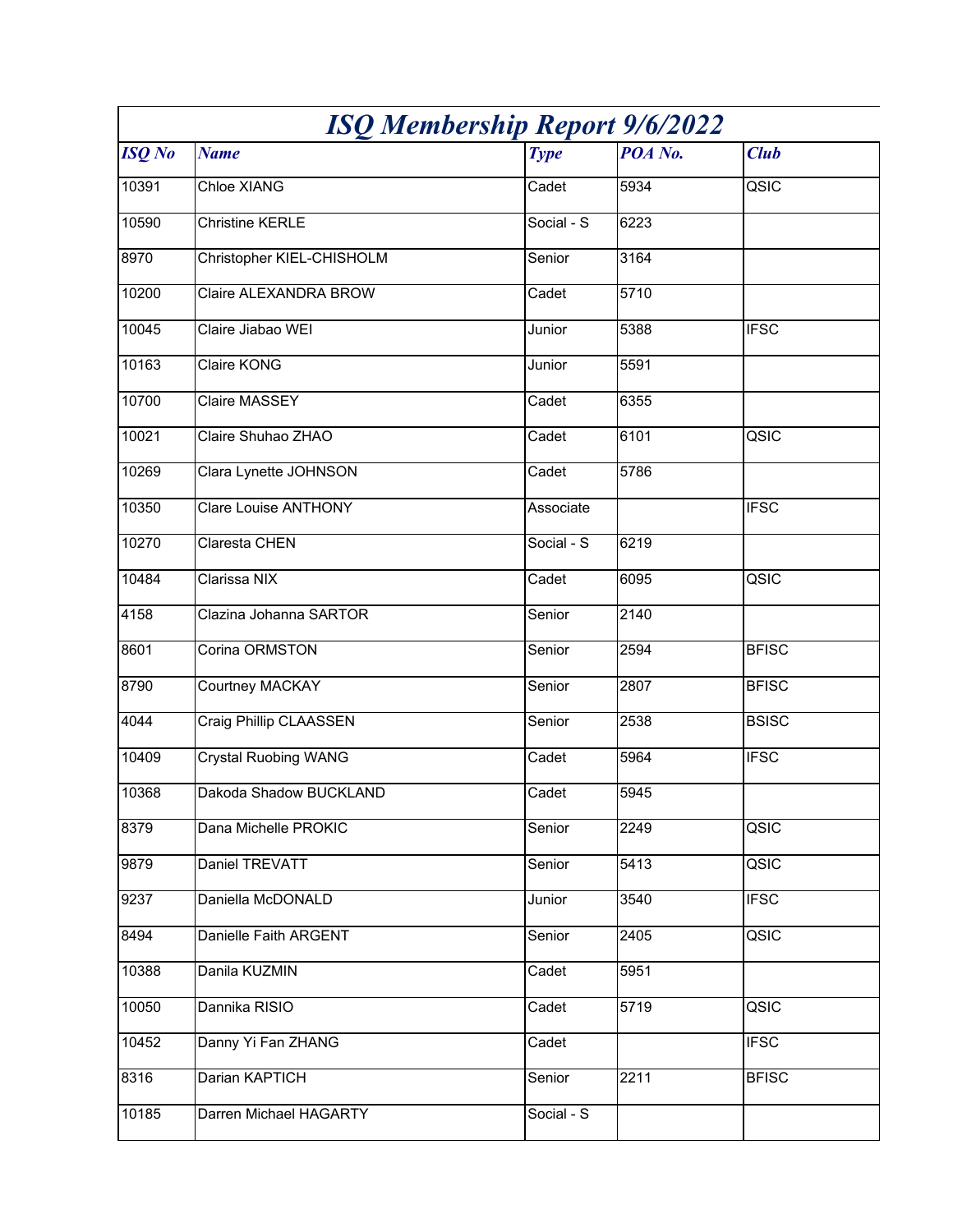| <b>ISQ Membership Report 9/6/2022</b> |                             |                         |         |              |
|---------------------------------------|-----------------------------|-------------------------|---------|--------------|
| <b>ISQ</b> No                         | <b>Name</b>                 | <b>Type</b>             | POA No. | <b>Club</b>  |
| 10391                                 | Chloe XIANG                 | Cadet                   | 5934    | QSIC         |
| 10590                                 | <b>Christine KERLE</b>      | Social - S              | 6223    |              |
| 8970                                  | Christopher KIEL-CHISHOLM   | Senior                  | 3164    |              |
| 10200                                 | Claire ALEXANDRA BROW       | Cadet                   | 5710    |              |
| 10045                                 | Claire Jiabao WEI           | Junior                  | 5388    | <b>IFSC</b>  |
| 10163                                 | Claire KONG                 | Junior                  | 5591    |              |
| 10700                                 | Claire MASSEY               | Cadet                   | 6355    |              |
| 10021                                 | Claire Shuhao ZHAO          | Cadet                   | 6101    | QSIC         |
| 10269                                 | Clara Lynette JOHNSON       | Cadet                   | 5786    |              |
| 10350                                 | <b>Clare Louise ANTHONY</b> | Associate               |         | <b>IFSC</b>  |
| 10270                                 | Claresta CHEN               | Social - $\overline{S}$ | 6219    |              |
| 10484                                 | Clarissa NIX                | Cadet                   | 6095    | QSIC         |
| 4158                                  | Clazina Johanna SARTOR      | Senior                  | 2140    |              |
| 8601                                  | Corina ORMSTON              | Senior                  | 2594    | <b>BFISC</b> |
| 8790                                  | Courtney MACKAY             | Senior                  | 2807    | <b>BFISC</b> |
| 4044                                  | Craig Phillip CLAASSEN      | Senior                  | 2538    | <b>BSISC</b> |
| 10409                                 | <b>Crystal Ruobing WANG</b> | Cadet                   | 5964    | <b>IFSC</b>  |
| 10368                                 | Dakoda Shadow BUCKLAND      | Cadet                   | 5945    |              |
| 8379                                  | Dana Michelle PROKIC        | Senior                  | 2249    | QSIC         |
| 9879                                  | Daniel TREVATT              | Senior                  | 5413    | QSIC         |
| 9237                                  | Daniella McDONALD           | Junior                  | 3540    | <b>IFSC</b>  |
| 8494                                  | Danielle Faith ARGENT       | Senior                  | 2405    | QSIC         |
| 10388                                 | Danila KUZMIN               | Cadet                   | 5951    |              |
| 10050                                 | Dannika RISIO               | Cadet                   | 5719    | QSIC         |
| 10452                                 | Danny Yi Fan ZHANG          | Cadet                   |         | <b>IFSC</b>  |
| 8316                                  | Darian KAPTICH              | Senior                  | 2211    | <b>BFISC</b> |
| 10185                                 | Darren Michael HAGARTY      | Social - S              |         |              |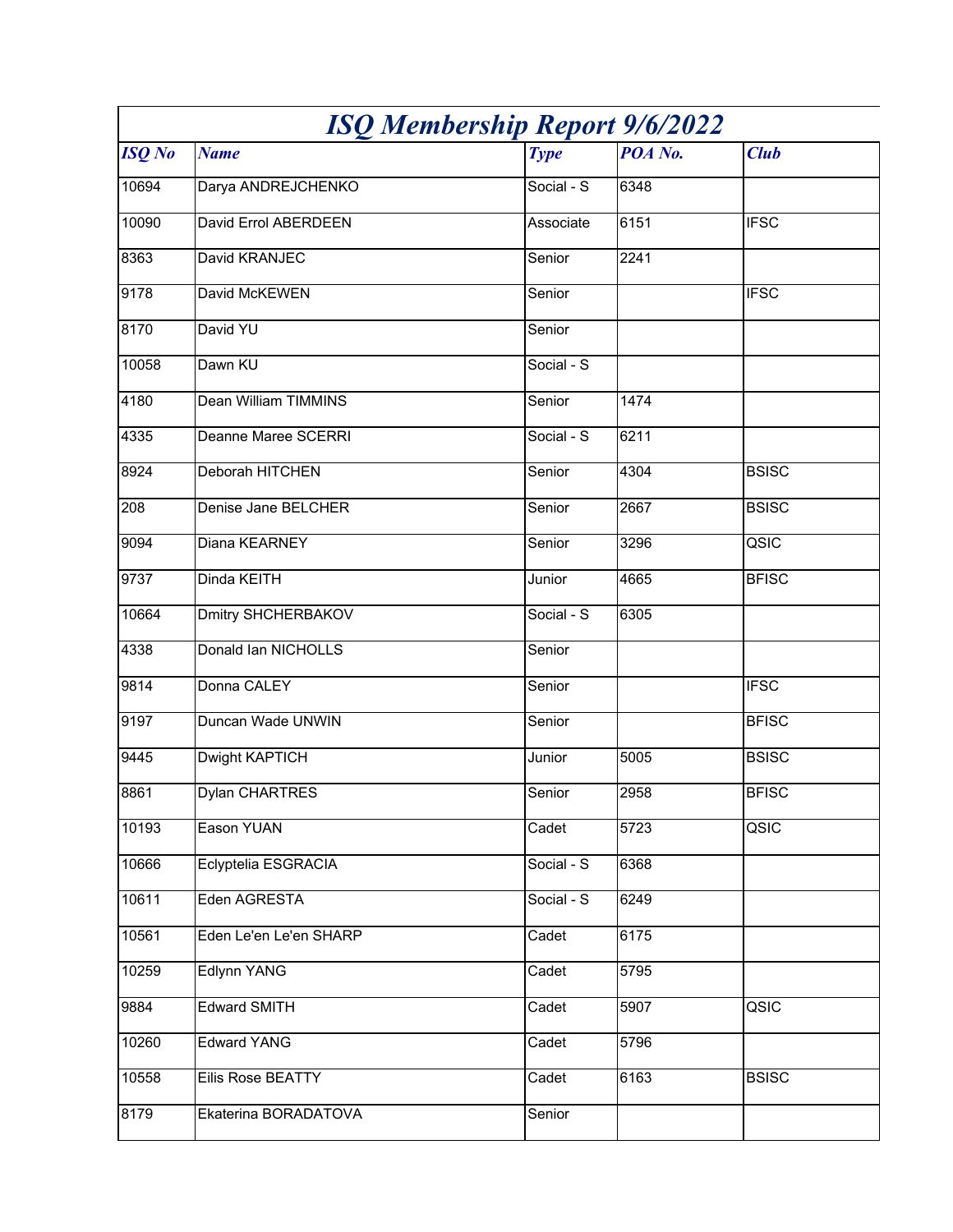| <b>ISQ Membership Report 9/6/2022</b> |                            |             |         |              |
|---------------------------------------|----------------------------|-------------|---------|--------------|
| <b>ISQ</b> No                         | <b>Name</b>                | <b>Type</b> | POA No. | <b>Club</b>  |
| 10694                                 | Darya ANDREJCHENKO         | Social - S  | 6348    |              |
| 10090                                 | David Errol ABERDEEN       | Associate   | 6151    | <b>IFSC</b>  |
| 8363                                  | David KRANJEC              | Senior      | 2241    |              |
| 9178                                  | David McKEWEN              | Senior      |         | <b>IFSC</b>  |
| 8170                                  | David YU                   | Senior      |         |              |
| 10058                                 | Dawn KU                    | Social - S  |         |              |
| 4180                                  | Dean William TIMMINS       | Senior      | 1474    |              |
| 4335                                  | <b>Deanne Maree SCERRI</b> | Social - S  | 6211    |              |
| 8924                                  | Deborah HITCHEN            | Senior      | 4304    | <b>BSISC</b> |
| 208                                   | Denise Jane BELCHER        | Senior      | 2667    | <b>BSISC</b> |
| 9094                                  | Diana KEARNEY              | Senior      | 3296    | QSIC         |
| 9737                                  | Dinda KEITH                | Junior      | 4665    | <b>BFISC</b> |
| 10664                                 | <b>Dmitry SHCHERBAKOV</b>  | Social - S  | 6305    |              |
| 4338                                  | Donald Ian NICHOLLS        | Senior      |         |              |
| 9814                                  | Donna CALEY                | Senior      |         | <b>IFSC</b>  |
| 9197                                  | Duncan Wade UNWIN          | Senior      |         | <b>BFISC</b> |
| 9445                                  | Dwight KAPTICH             | Junior      | 5005    | <b>BSISC</b> |
| 8861                                  | Dylan CHARTRES             | Senior      | 2958    | <b>BFISC</b> |
| 10193                                 | Eason YUAN                 | Cadet       | 5723    | QSIC         |
| 10666                                 | Eclyptelia ESGRACIA        | Social - S  | 6368    |              |
| 10611                                 | Eden AGRESTA               | Social - S  | 6249    |              |
| 10561                                 | Eden Le'en Le'en SHARP     | Cadet       | 6175    |              |
| 10259                                 | Edlynn YANG                | Cadet       | 5795    |              |
| 9884                                  | <b>Edward SMITH</b>        | Cadet       | 5907    | QSIC         |
| 10260                                 | <b>Edward YANG</b>         | Cadet       | 5796    |              |
| 10558                                 | Eilis Rose BEATTY          | Cadet       | 6163    | <b>BSISC</b> |
| 8179                                  | Ekaterina BORADATOVA       | Senior      |         |              |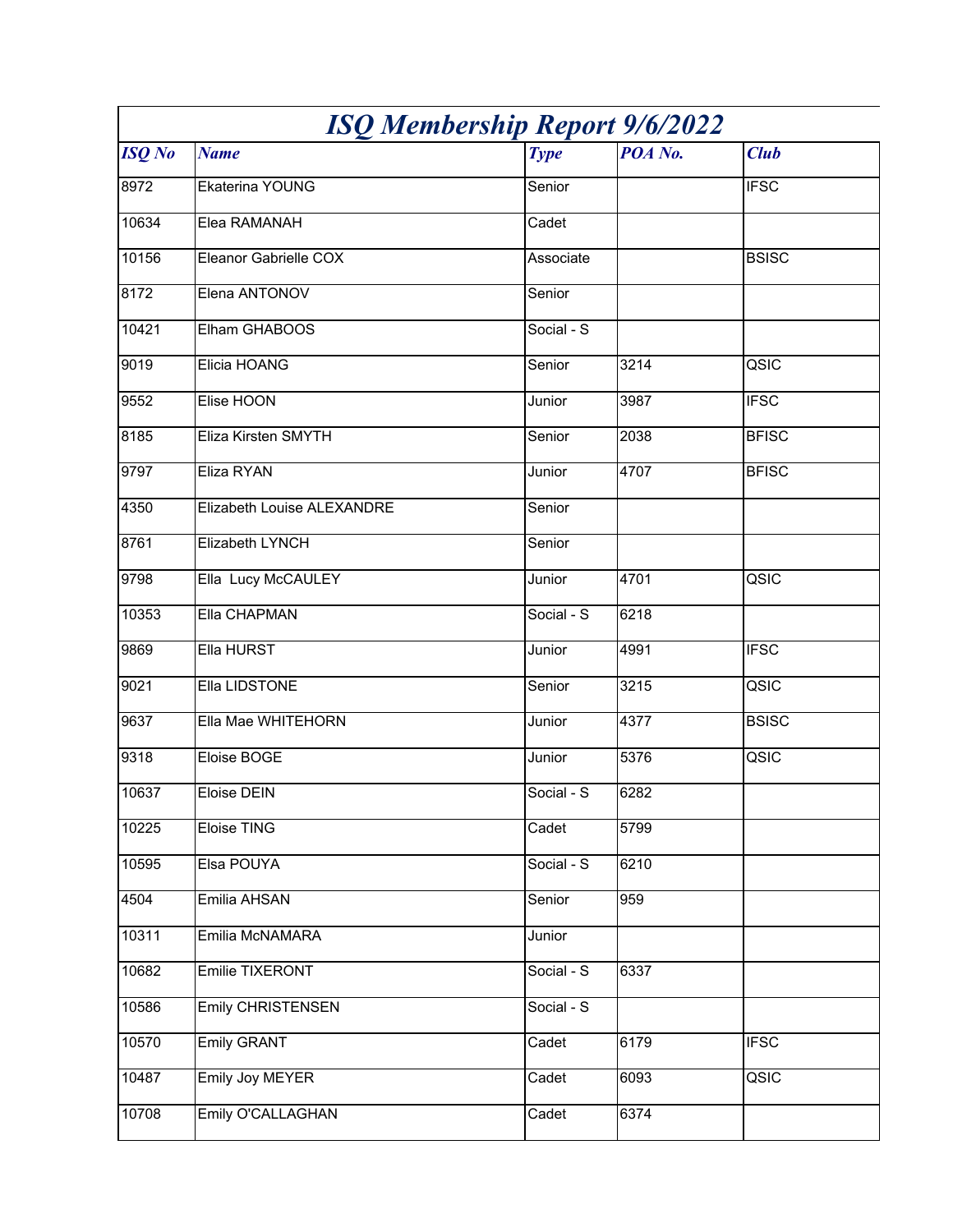| <b>ISQ Membership Report 9/6/2022</b> |                            |             |         |              |
|---------------------------------------|----------------------------|-------------|---------|--------------|
| <b>ISQ</b> No                         | <b>Name</b>                | <b>Type</b> | POA No. | <b>Club</b>  |
| 8972                                  | Ekaterina YOUNG            | Senior      |         | <b>IFSC</b>  |
| 10634                                 | Elea RAMANAH               | Cadet       |         |              |
| 10156                                 | Eleanor Gabrielle COX      | Associate   |         | <b>BSISC</b> |
| 8172                                  | Elena ANTONOV              | Senior      |         |              |
| 10421                                 | Elham GHABOOS              | Social - S  |         |              |
| 9019                                  | Elicia HOANG               | Senior      | 3214    | QSIC         |
| 9552                                  | Elise HOON                 | Junior      | 3987    | <b>IFSC</b>  |
| 8185                                  | Eliza Kirsten SMYTH        | Senior      | 2038    | <b>BFISC</b> |
| 9797                                  | Eliza RYAN                 | Junior      | 4707    | <b>BFISC</b> |
| 4350                                  | Elizabeth Louise ALEXANDRE | Senior      |         |              |
| 8761                                  | Elizabeth LYNCH            | Senior      |         |              |
| 9798                                  | Ella Lucy McCAULEY         | Junior      | 4701    | QSIC         |
| 10353                                 | Ella CHAPMAN               | Social - S  | 6218    |              |
| 9869                                  | Ella HURST                 | Junior      | 4991    | <b>IFSC</b>  |
| 9021                                  | Ella LIDSTONE              | Senior      | 3215    | QSIC         |
| 9637                                  | Ella Mae WHITEHORN         | Junior      | 4377    | <b>BSISC</b> |
| 9318                                  | Eloise BOGE                | Junior      | 5376    | QSIC         |
| 10637                                 | Eloise DEIN                | Social - S  | 6282    |              |
| 10225                                 | Eloise TING                | Cadet       | 5799    |              |
| 10595                                 | Elsa POUYA                 | Social - S  | 6210    |              |
| 4504                                  | Emilia AHSAN               | Senior      | 959     |              |
| 10311                                 | Emilia McNAMARA            | Junior      |         |              |
| 10682                                 | Emilie TIXERONT            | Social - S  | 6337    |              |
| 10586                                 | <b>Emily CHRISTENSEN</b>   | Social - S  |         |              |
| 10570                                 | <b>Emily GRANT</b>         | Cadet       | 6179    | <b>IFSC</b>  |
| 10487                                 | <b>Emily Joy MEYER</b>     | Cadet       | 6093    | QSIC         |
| 10708                                 | Emily O'CALLAGHAN          | Cadet       | 6374    |              |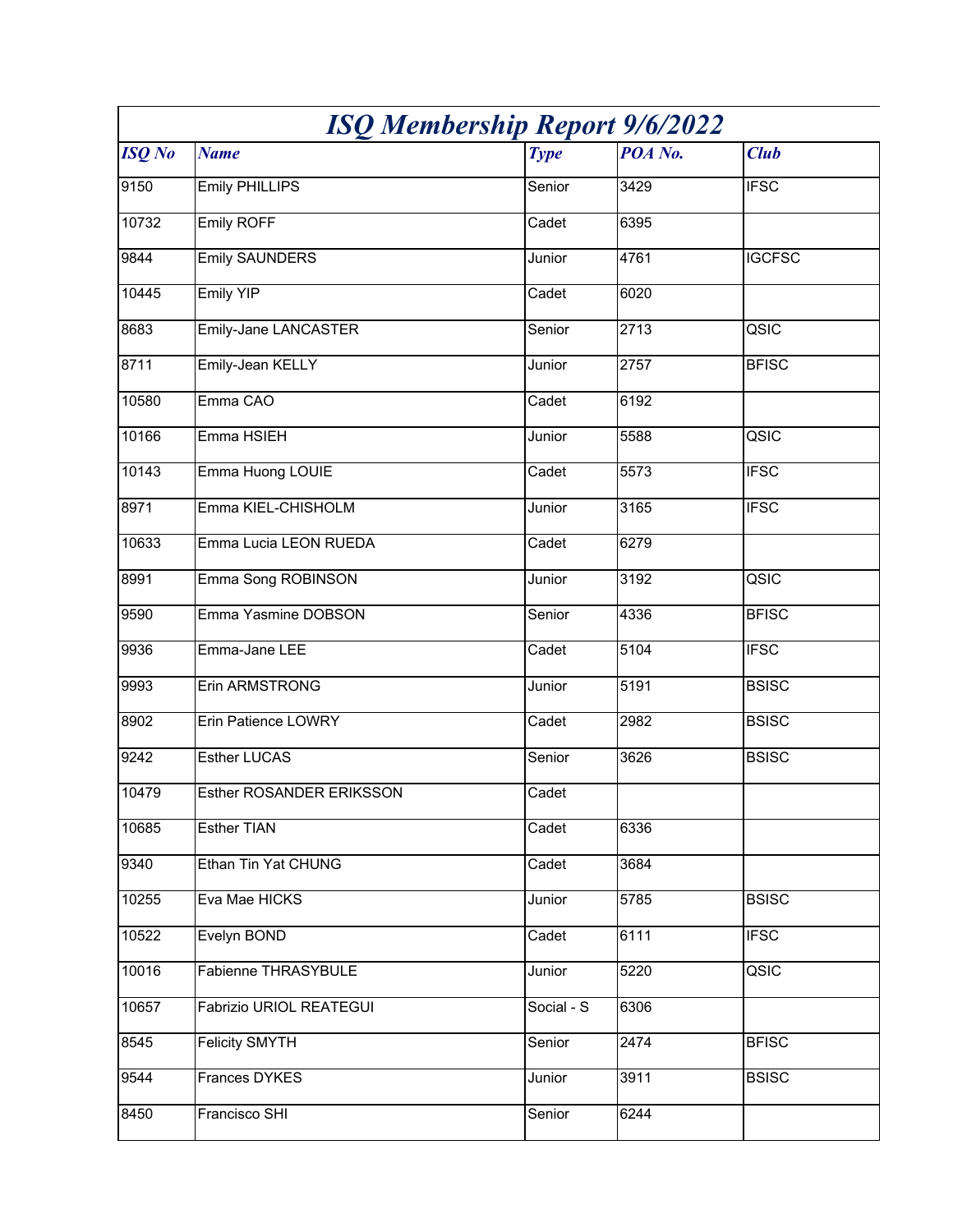| <b>ISQ Membership Report 9/6/2022</b> |                                 |             |                  |               |
|---------------------------------------|---------------------------------|-------------|------------------|---------------|
| <b>ISQ</b> No                         | <b>Name</b>                     | <b>Type</b> | POA No.          | <b>Club</b>   |
| 9150                                  | <b>Emily PHILLIPS</b>           | Senior      | $\frac{1}{3429}$ | <b>IFSC</b>   |
| 10732                                 | <b>Emily ROFF</b>               | Cadet       | 6395             |               |
| 9844                                  | <b>Emily SAUNDERS</b>           | Junior      | 4761             | <b>IGCFSC</b> |
| 10445                                 | <b>Emily YIP</b>                | Cadet       | 6020             |               |
| 8683                                  | <b>Emily-Jane LANCASTER</b>     | Senior      | 2713             | QSIC          |
| 8711                                  | Emily-Jean KELLY                | Junior      | 2757             | <b>BFISC</b>  |
| 10580                                 | Emma CAO                        | Cadet       | 6192             |               |
| 10166                                 | Emma HSIEH                      | Junior      | 5588             | QSIC          |
| 10143                                 | Emma Huong LOUIE                | Cadet       | 5573             | <b>IFSC</b>   |
| 8971                                  | Emma KIEL-CHISHOLM              | Junior      | $\frac{1}{3165}$ | <b>IFSC</b>   |
| 10633                                 | Emma Lucia LEON RUEDA           | Cadet       | 6279             |               |
| 8991                                  | Emma Song ROBINSON              | Junior      | 3192             | QSIC          |
| 9590                                  | Emma Yasmine DOBSON             | Senior      | 4336             | <b>BFISC</b>  |
| 9936                                  | Emma-Jane LEE                   | Cadet       | 5104             | <b>IFSC</b>   |
| 9993                                  | Erin ARMSTRONG                  | Junior      | 5191             | <b>BSISC</b>  |
| 8902                                  | <b>Erin Patience LOWRY</b>      | Cadet       | 2982             | <b>BSISC</b>  |
| 9242                                  | <b>Esther LUCAS</b>             | Senior      | 3626             | <b>BSISC</b>  |
| 10479                                 | <b>Esther ROSANDER ERIKSSON</b> | Cadet       |                  |               |
| 10685                                 | <b>Esther TIAN</b>              | Cadet       | 6336             |               |
| 9340                                  | Ethan Tin Yat CHUNG             | Cadet       | 3684             |               |
| 10255                                 | Eva Mae HICKS                   | Junior      | 5785             | <b>BSISC</b>  |
| 10522                                 | Evelyn BOND                     | Cadet       | 6111             | <b>IFSC</b>   |
| 10016                                 | Fabienne THRASYBULE             | Junior      | 5220             | QSIC          |
| 10657                                 | Fabrizio URIOL REATEGUI         | Social - S  | 6306             |               |
| 8545                                  | <b>Felicity SMYTH</b>           | Senior      | 2474             | <b>BFISC</b>  |
| 9544                                  | Frances DYKES                   | Junior      | 3911             | <b>BSISC</b>  |
| 8450                                  | Francisco SHI                   | Senior      | 6244             |               |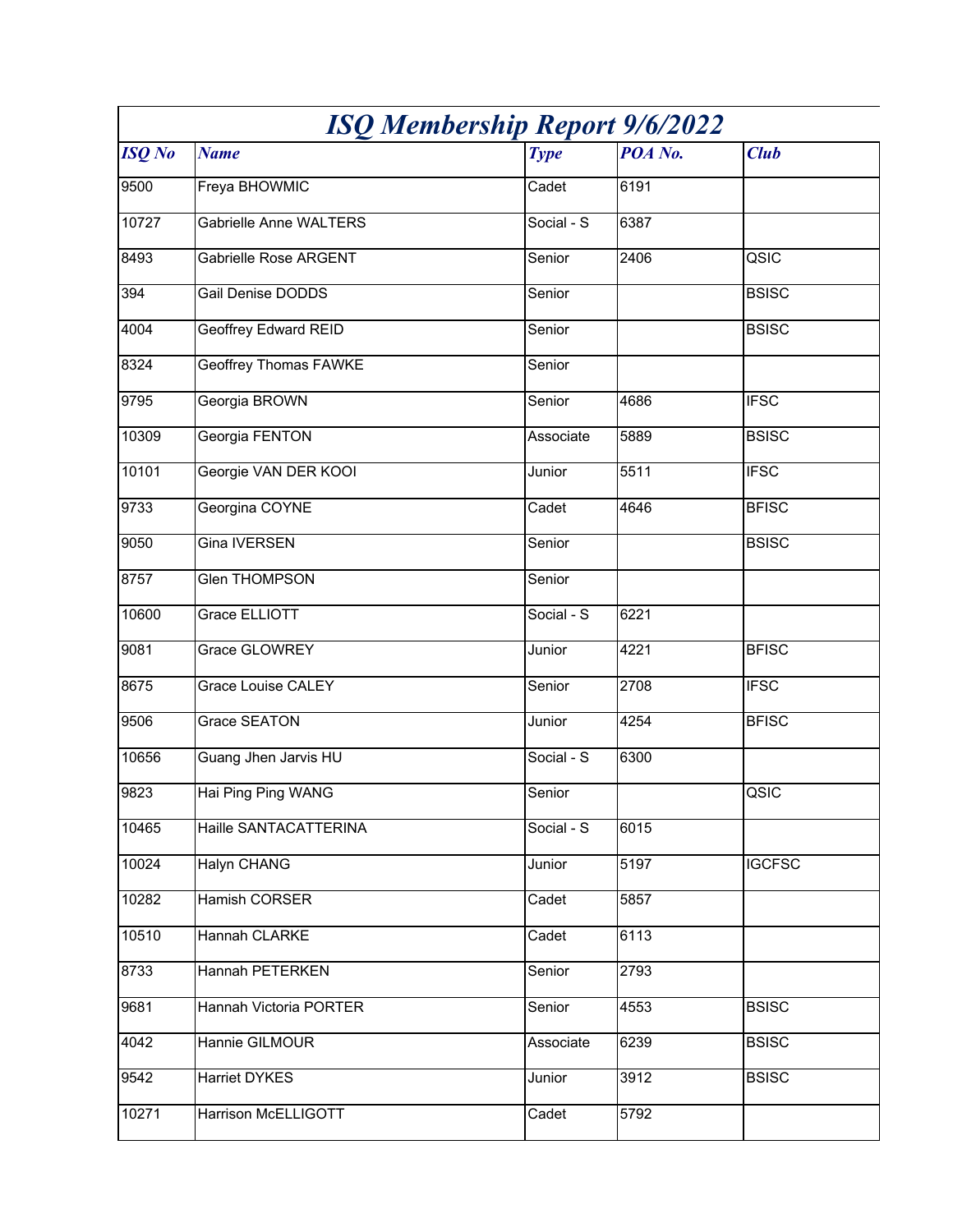| <b>ISQ Membership Report 9/6/2022</b> |                               |             |         |               |
|---------------------------------------|-------------------------------|-------------|---------|---------------|
| <b>ISQ</b> No                         | <b>Name</b>                   | <b>Type</b> | POA No. | <b>Club</b>   |
| 9500                                  | Freya BHOWMIC                 | Cadet       | 6191    |               |
| 10727                                 | <b>Gabrielle Anne WALTERS</b> | Social - S  | 6387    |               |
| 8493                                  | Gabrielle Rose ARGENT         | Senior      | 2406    | QSIC          |
| 394                                   | Gail Denise DODDS             | Senior      |         | <b>BSISC</b>  |
| 4004                                  | <b>Geoffrey Edward REID</b>   | Senior      |         | <b>BSISC</b>  |
| 8324                                  | <b>Geoffrey Thomas FAWKE</b>  | Senior      |         |               |
| 9795                                  | Georgia BROWN                 | Senior      | 4686    | <b>IFSC</b>   |
| 10309                                 | Georgia FENTON                | Associate   | 5889    | <b>BSISC</b>  |
| 10101                                 | Georgie VAN DER KOOI          | Junior      | 5511    | <b>IFSC</b>   |
| 9733                                  | Georgina COYNE                | Cadet       | 4646    | <b>BFISC</b>  |
| 9050                                  | Gina IVERSEN                  | Senior      |         | <b>BSISC</b>  |
| 8757                                  | <b>Glen THOMPSON</b>          | Senior      |         |               |
| 10600                                 | Grace ELLIOTT                 | Social - S  | 6221    |               |
| 9081                                  | Grace GLOWREY                 | Junior      | 4221    | <b>BFISC</b>  |
| 8675                                  | <b>Grace Louise CALEY</b>     | Senior      | 2708    | <b>IFSC</b>   |
| 9506                                  | Grace SEATON                  | Junior      | 4254    | <b>BFISC</b>  |
| 10656                                 | Guang Jhen Jarvis HU          | Social - S  | 6300    |               |
| 9823                                  | Hai Ping Ping WANG            | Senior      |         | QSIC          |
| 10465                                 | Haille SANTACATTERINA         | Social - S  | 6015    |               |
| 10024                                 | Halyn CHANG                   | Junior      | 5197    | <b>IGCFSC</b> |
| 10282                                 | Hamish CORSER                 | Cadet       | 5857    |               |
| 10510                                 | Hannah CLARKE                 | Cadet       | 6113    |               |
| 8733                                  | Hannah PETERKEN               | Senior      | 2793    |               |
| 9681                                  | <b>Hannah Victoria PORTER</b> | Senior      | 4553    | <b>BSISC</b>  |
| 4042                                  | Hannie GILMOUR                | Associate   | 6239    | <b>BSISC</b>  |
| 9542                                  | Harriet DYKES                 | Junior      | 3912    | <b>BSISC</b>  |
| 10271                                 | <b>Harrison McELLIGOTT</b>    | Cadet       | 5792    |               |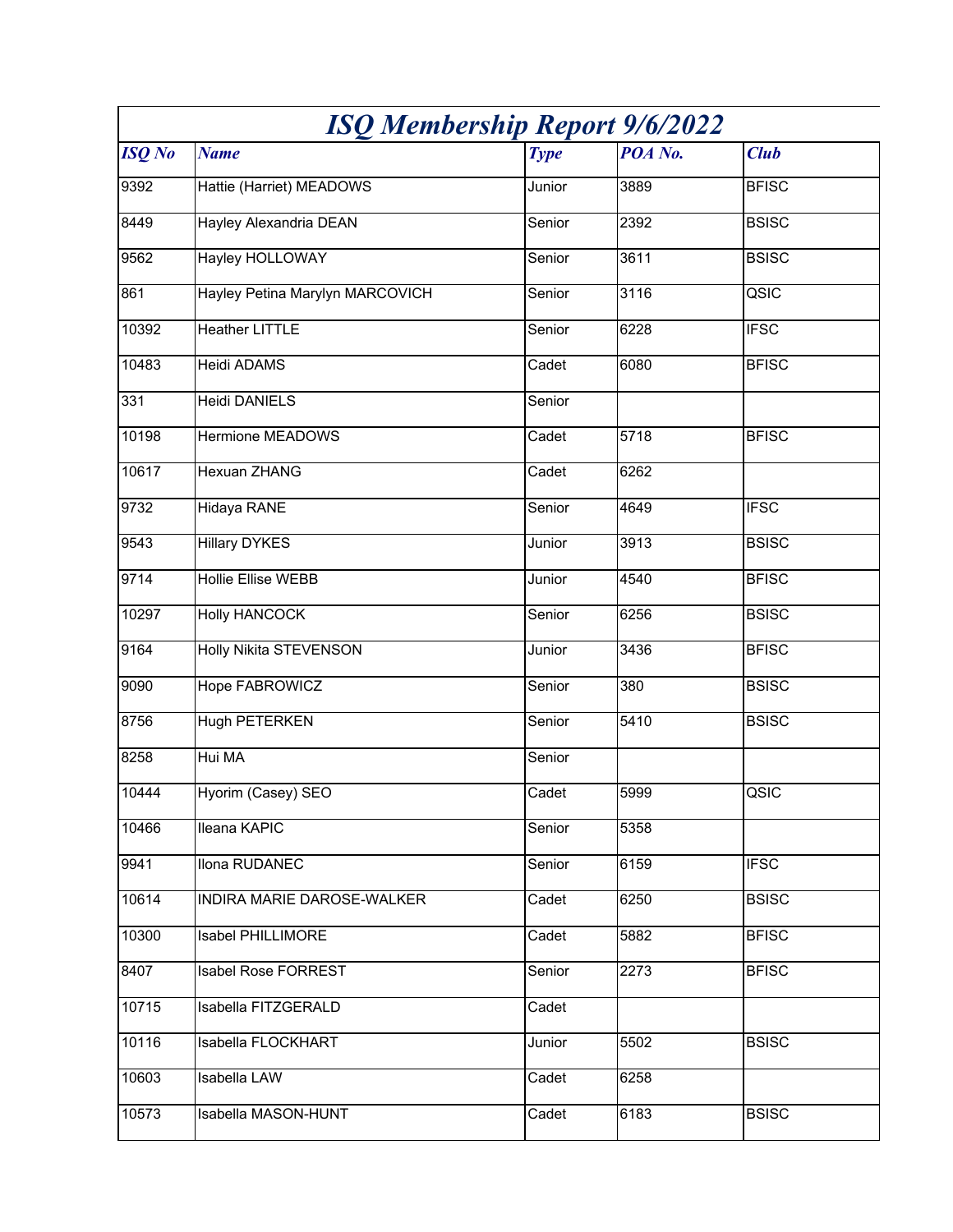| <b>ISQ Membership Report 9/6/2022</b> |                                 |             |         |              |
|---------------------------------------|---------------------------------|-------------|---------|--------------|
| <b>ISQ</b> No                         | <b>Name</b>                     | <b>Type</b> | POA No. | <b>Club</b>  |
| 9392                                  | Hattie (Harriet) MEADOWS        | Junior      | 3889    | <b>BFISC</b> |
| 8449                                  | Hayley Alexandria DEAN          | Senior      | 2392    | <b>BSISC</b> |
| 9562                                  | Hayley HOLLOWAY                 | Senior      | 3611    | <b>BSISC</b> |
| 861                                   | Hayley Petina Marylyn MARCOVICH | Senior      | 3116    | QSIC         |
| 10392                                 | <b>Heather LITTLE</b>           | Senior      | 6228    | <b>IFSC</b>  |
| 10483                                 | Heidi ADAMS                     | Cadet       | 6080    | <b>BFISC</b> |
| 331                                   | Heidi DANIELS                   | Senior      |         |              |
| 10198                                 | <b>Hermione MEADOWS</b>         | Cadet       | 5718    | <b>BFISC</b> |
| 10617                                 | <b>Hexuan ZHANG</b>             | Cadet       | 6262    |              |
| 9732                                  | Hidaya RANE                     | Senior      | 4649    | <b>IFSC</b>  |
| 9543                                  | <b>Hillary DYKES</b>            | Junior      | 3913    | <b>BSISC</b> |
| 9714                                  | <b>Hollie Ellise WEBB</b>       | Junior      | 4540    | <b>BFISC</b> |
| 10297                                 | <b>Holly HANCOCK</b>            | Senior      | 6256    | <b>BSISC</b> |
| 9164                                  | <b>Holly Nikita STEVENSON</b>   | Junior      | 3436    | <b>BFISC</b> |
| 9090                                  | Hope FABROWICZ                  | Senior      | 380     | <b>BSISC</b> |
| 8756                                  | Hugh PETERKEN                   | Senior      | 5410    | <b>BSISC</b> |
| 8258                                  | Hui MA                          | Senior      |         |              |
| 10444                                 | Hyorim (Casey) SEO              | Cadet       | 5999    | QSIC         |
| 10466                                 | Ileana KAPIC                    | Senior      | 5358    |              |
| 9941                                  | Ilona RUDANEC                   | Senior      | 6159    | <b>IFSC</b>  |
| 10614                                 | INDIRA MARIE DAROSE-WALKER      | Cadet       | 6250    | <b>BSISC</b> |
| 10300                                 | <b>Isabel PHILLIMORE</b>        | Cadet       | 5882    | <b>BFISC</b> |
| 8407                                  | <b>Isabel Rose FORREST</b>      | Senior      | 2273    | <b>BFISC</b> |
| 10715                                 | Isabella FITZGERALD             | Cadet       |         |              |
| 10116                                 | Isabella FLOCKHART              | Junior      | 5502    | <b>BSISC</b> |
| 10603                                 | <b>Isabella LAW</b>             | Cadet       | 6258    |              |
| 10573                                 | Isabella MASON-HUNT             | Cadet       | 6183    | <b>BSISC</b> |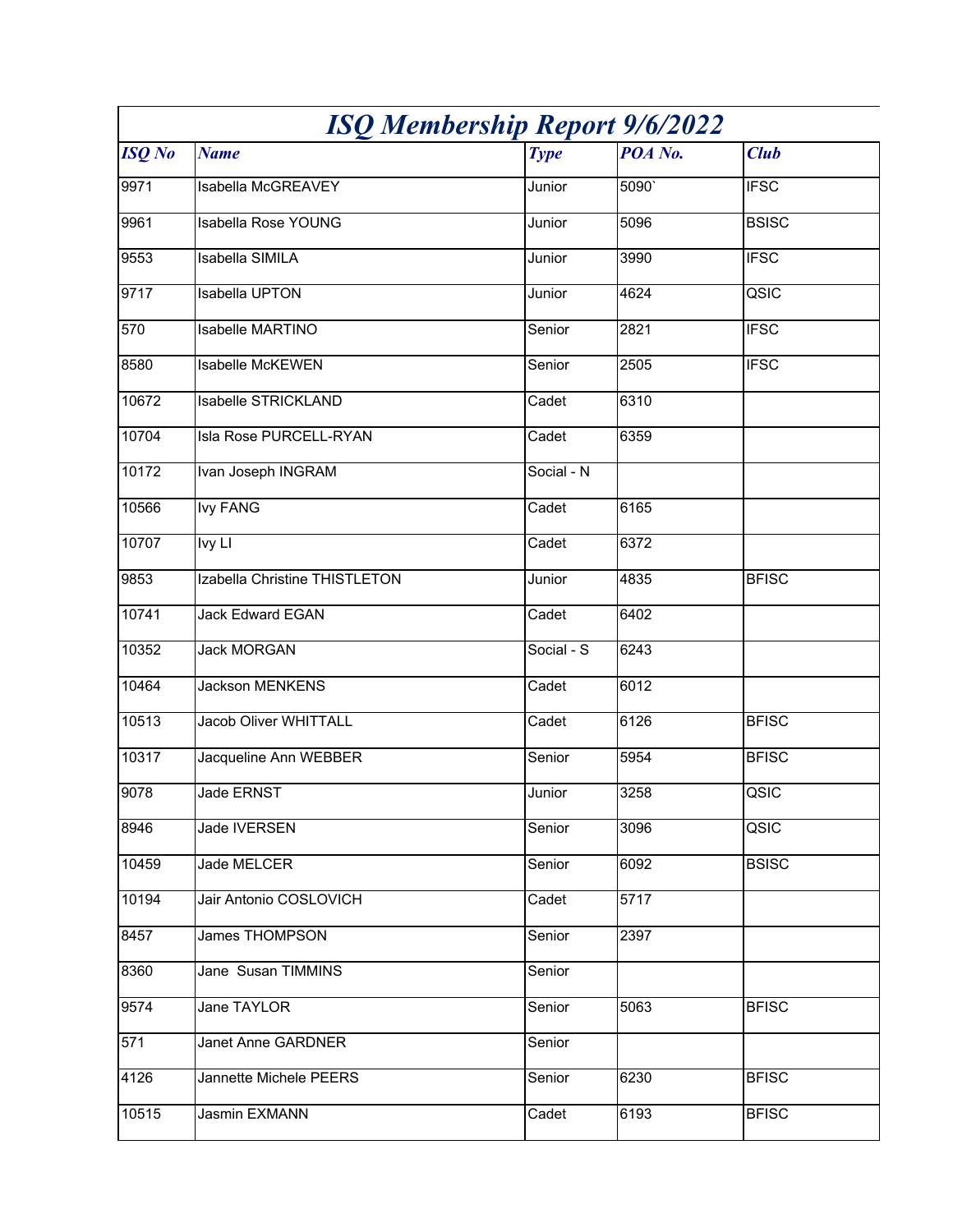| <b>ISQ Membership Report 9/6/2022</b> |                               |             |         |              |
|---------------------------------------|-------------------------------|-------------|---------|--------------|
| <b>ISQ</b> No                         | <b>Name</b>                   | <b>Type</b> | POA No. | <b>Club</b>  |
| 9971                                  | Isabella McGREAVEY            | Junior      | 5090    | <b>IFSC</b>  |
| 9961                                  | <b>Isabella Rose YOUNG</b>    | Junior      | 5096    | <b>BSISC</b> |
| 9553                                  | <b>Isabella SIMILA</b>        | Junior      | 3990    | <b>IFSC</b>  |
| 9717                                  | Isabella UPTON                | Junior      | 4624    | QSIC         |
| 570                                   | Isabelle MARTINO              | Senior      | 2821    | <b>IFSC</b>  |
| 8580                                  | <b>Isabelle McKEWEN</b>       | Senior      | 2505    | <b>IFSC</b>  |
| 10672                                 | Isabelle STRICKLAND           | Cadet       | 6310    |              |
| 10704                                 | Isla Rose PURCELL-RYAN        | Cadet       | 6359    |              |
| 10172                                 | Ivan Joseph INGRAM            | Social - N  |         |              |
| 10566                                 | <b>Ivy FANG</b>               | Cadet       | 6165    |              |
| 10707                                 | lvy Ll                        | Cadet       | 6372    |              |
| 9853                                  | Izabella Christine THISTLETON | Junior      | 4835    | <b>BFISC</b> |
| 10741                                 | <b>Jack Edward EGAN</b>       | Cadet       | 6402    |              |
| 10352                                 | <b>Jack MORGAN</b>            | Social - S  | 6243    |              |
| 10464                                 | <b>Jackson MENKENS</b>        | Cadet       | 6012    |              |
| 10513                                 | <b>Jacob Oliver WHITTALL</b>  | Cadet       | 6126    | <b>BFISC</b> |
| 10317                                 | Jacqueline Ann WEBBER         | Senior      | 5954    | <b>BFISC</b> |
| 9078                                  | Jade ERNST                    | Junior      | 3258    | QSIC         |
| 8946                                  | Jade IVERSEN                  | Senior      | 3096    | QSIC         |
| 10459                                 | Jade MELCER                   | Senior      | 6092    | <b>BSISC</b> |
| 10194                                 | Jair Antonio COSLOVICH        | Cadet       | 5717    |              |
| 8457                                  | <b>James THOMPSON</b>         | Senior      | 2397    |              |
| 8360                                  | Jane Susan TIMMINS            | Senior      |         |              |
| 9574                                  | Jane TAYLOR                   | Senior      | 5063    | <b>BFISC</b> |
| 571                                   | Janet Anne GARDNER            | Senior      |         |              |
| 4126                                  | Jannette Michele PEERS        | Senior      | 6230    | <b>BFISC</b> |
| 10515                                 | Jasmin EXMANN                 | Cadet       | 6193    | <b>BFISC</b> |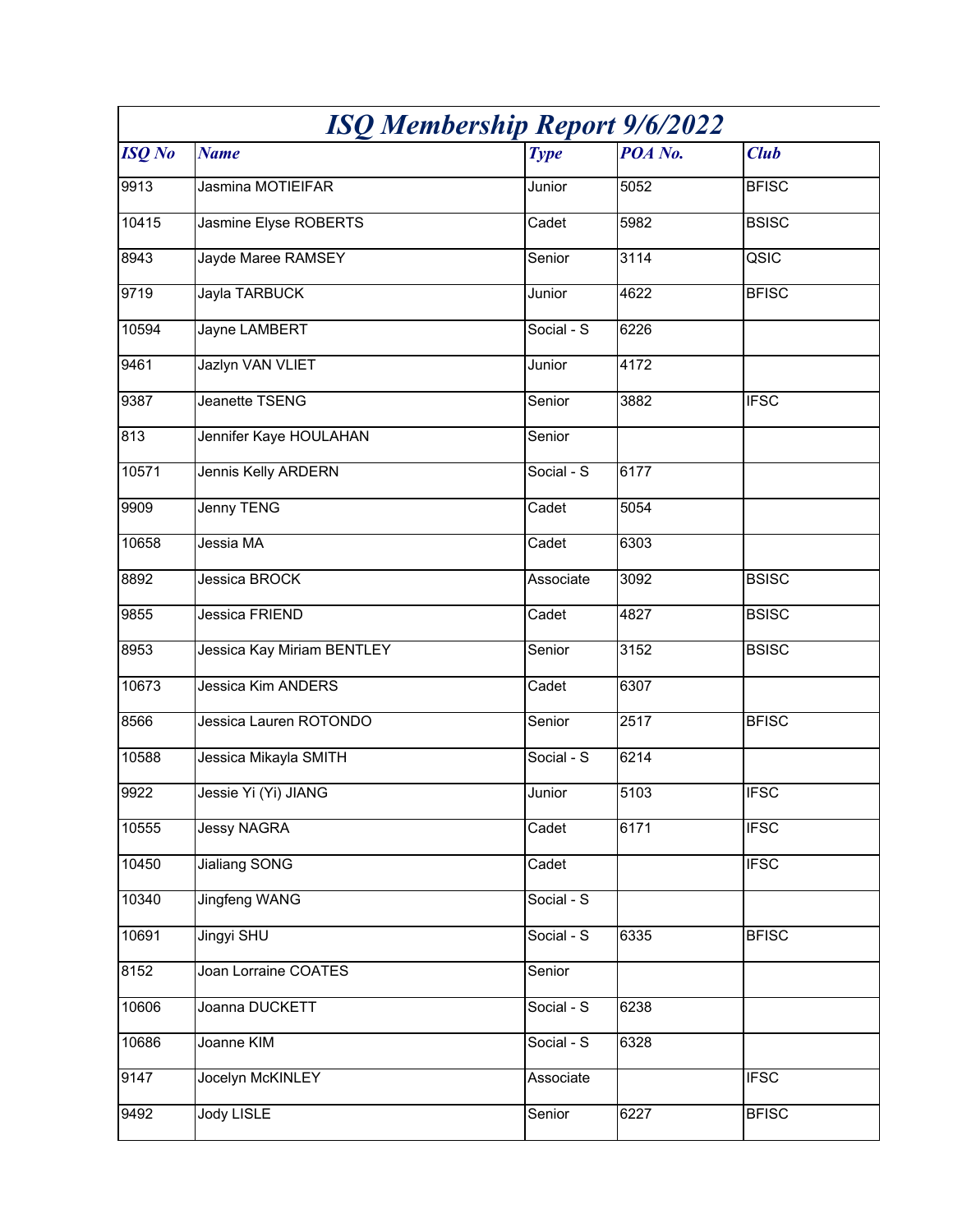| <b>ISQ Membership Report 9/6/2022</b> |                            |             |         |              |
|---------------------------------------|----------------------------|-------------|---------|--------------|
| <b>ISQ</b> No                         | <b>Name</b>                | <b>Type</b> | POA No. | <b>Club</b>  |
| 9913                                  | Jasmina MOTIEIFAR          | Junior      | 5052    | <b>BFISC</b> |
| 10415                                 | Jasmine Elyse ROBERTS      | Cadet       | 5982    | <b>BSISC</b> |
| 8943                                  | Jayde Maree RAMSEY         | Senior      | 3114    | QSIC         |
| 9719                                  | Jayla TARBUCK              | Junior      | 4622    | <b>BFISC</b> |
| 10594                                 | Jayne LAMBERT              | Social - S  | 6226    |              |
| 9461                                  | Jazlyn VAN VLIET           | Junior      | 4172    |              |
| 9387                                  | Jeanette TSENG             | Senior      | 3882    | <b>IFSC</b>  |
| 813                                   | Jennifer Kaye HOULAHAN     | Senior      |         |              |
| 10571                                 | Jennis Kelly ARDERN        | Social - S  | 6177    |              |
| 9909                                  | Jenny TENG                 | Cadet       | 5054    |              |
| 10658                                 | Jessia MA                  | Cadet       | 6303    |              |
| 8892                                  | Jessica BROCK              | Associate   | 3092    | <b>BSISC</b> |
| 9855                                  | Jessica FRIEND             | Cadet       | 4827    | <b>BSISC</b> |
| 8953                                  | Jessica Kay Miriam BENTLEY | Senior      | 3152    | <b>BSISC</b> |
| 10673                                 | <b>Jessica Kim ANDERS</b>  | Cadet       | 6307    |              |
| 8566                                  | Jessica Lauren ROTONDO     | Senior      | 2517    | <b>BFISC</b> |
| 10588                                 | Jessica Mikayla SMITH      | Social - S  | 6214    |              |
| 9922                                  | Jessie Yi (Yi) JIANG       | Junior      | 5103    | <b>IFSC</b>  |
| 10555                                 | <b>Jessy NAGRA</b>         | Cadet       | 6171    | <b>IFSC</b>  |
| 10450                                 | Jialiang SONG              | Cadet       |         | <b>IFSC</b>  |
| 10340                                 | <b>Jingfeng WANG</b>       | Social - S  |         |              |
| 10691                                 | Jingyi SHU                 | Social - S  | 6335    | <b>BFISC</b> |
| 8152                                  | Joan Lorraine COATES       | Senior      |         |              |
| 10606                                 | Joanna DUCKETT             | Social - S  | 6238    |              |
| 10686                                 | Joanne KIM                 | Social - S  | 6328    |              |
| 9147                                  | Jocelyn McKINLEY           | Associate   |         | <b>IFSC</b>  |
| 9492                                  | <b>Jody LISLE</b>          | Senior      | 6227    | <b>BFISC</b> |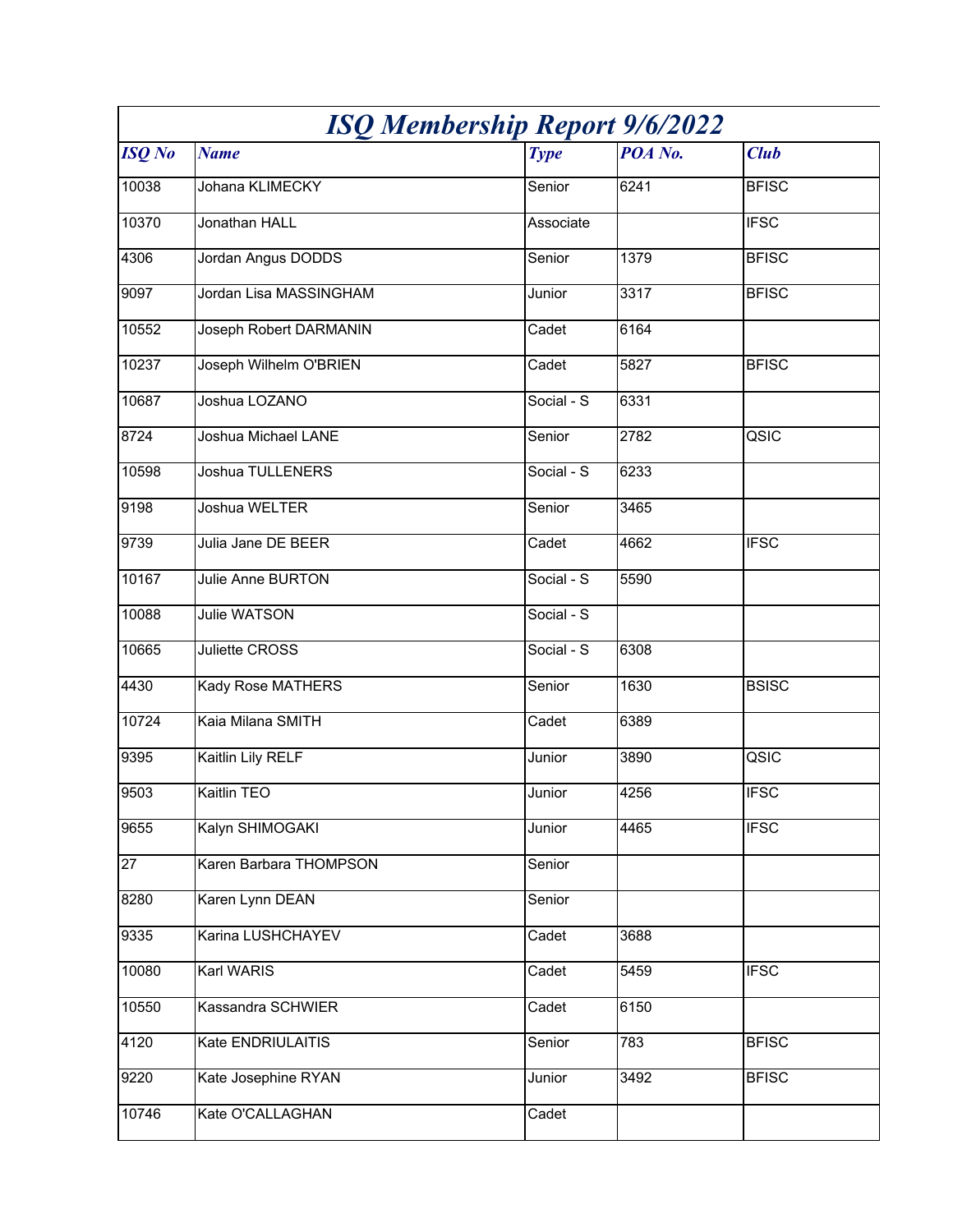| <b>ISQ Membership Report 9/6/2022</b> |                        |             |         |              |
|---------------------------------------|------------------------|-------------|---------|--------------|
| <b>ISQ</b> No                         | <b>Name</b>            | <b>Type</b> | POA No. | <b>Club</b>  |
| 10038                                 | Johana KLIMECKY        | Senior      | 6241    | <b>BFISC</b> |
| 10370                                 | Jonathan HALL          | Associate   |         | <b>IFSC</b>  |
| 4306                                  | Jordan Angus DODDS     | Senior      | 1379    | <b>BFISC</b> |
| 9097                                  | Jordan Lisa MASSINGHAM | Junior      | 3317    | <b>BFISC</b> |
| 10552                                 | Joseph Robert DARMANIN | Cadet       | 6164    |              |
| 10237                                 | Joseph Wilhelm O'BRIEN | Cadet       | 5827    | <b>BFISC</b> |
| 10687                                 | Joshua LOZANO          | Social - S  | 6331    |              |
| 8724                                  | Joshua Michael LANE    | Senior      | 2782    | QSIC         |
| 10598                                 | Joshua TULLENERS       | Social - S  | 6233    |              |
| 9198                                  | Joshua WELTER          | Senior      | 3465    |              |
| 9739                                  | Julia Jane DE BEER     | Cadet       | 4662    | <b>IFSC</b>  |
| 10167                                 | Julie Anne BURTON      | Social - S  | 5590    |              |
| 10088                                 | <b>Julie WATSON</b>    | Social - S  |         |              |
| 10665                                 | Juliette CROSS         | Social - S  | 6308    |              |
| 4430                                  | Kady Rose MATHERS      | Senior      | 1630    | <b>BSISC</b> |
| 10724                                 | Kaia Milana SMITH      | Cadet       | 6389    |              |
| 9395                                  | Kaitlin Lily RELF      | Junior      | 3890    | QSIC         |
| 9503                                  | Kaitlin TEO            | Junior      | 4256    | <b>IFSC</b>  |
| 9655                                  | Kalyn SHIMOGAKI        | Junior      | 4465    | <b>IFSC</b>  |
| 27                                    | Karen Barbara THOMPSON | Senior      |         |              |
| 8280                                  | Karen Lynn DEAN        | Senior      |         |              |
| 9335                                  | Karina LUSHCHAYEV      | Cadet       | 3688    |              |
| 10080                                 | Karl WARIS             | Cadet       | 5459    | <b>IFSC</b>  |
| 10550                                 | Kassandra SCHWIER      | Cadet       | 6150    |              |
| 4120                                  | Kate ENDRIULAITIS      | Senior      | 783     | <b>BFISC</b> |
| 9220                                  | Kate Josephine RYAN    | Junior      | 3492    | <b>BFISC</b> |
| 10746                                 | Kate O'CALLAGHAN       | Cadet       |         |              |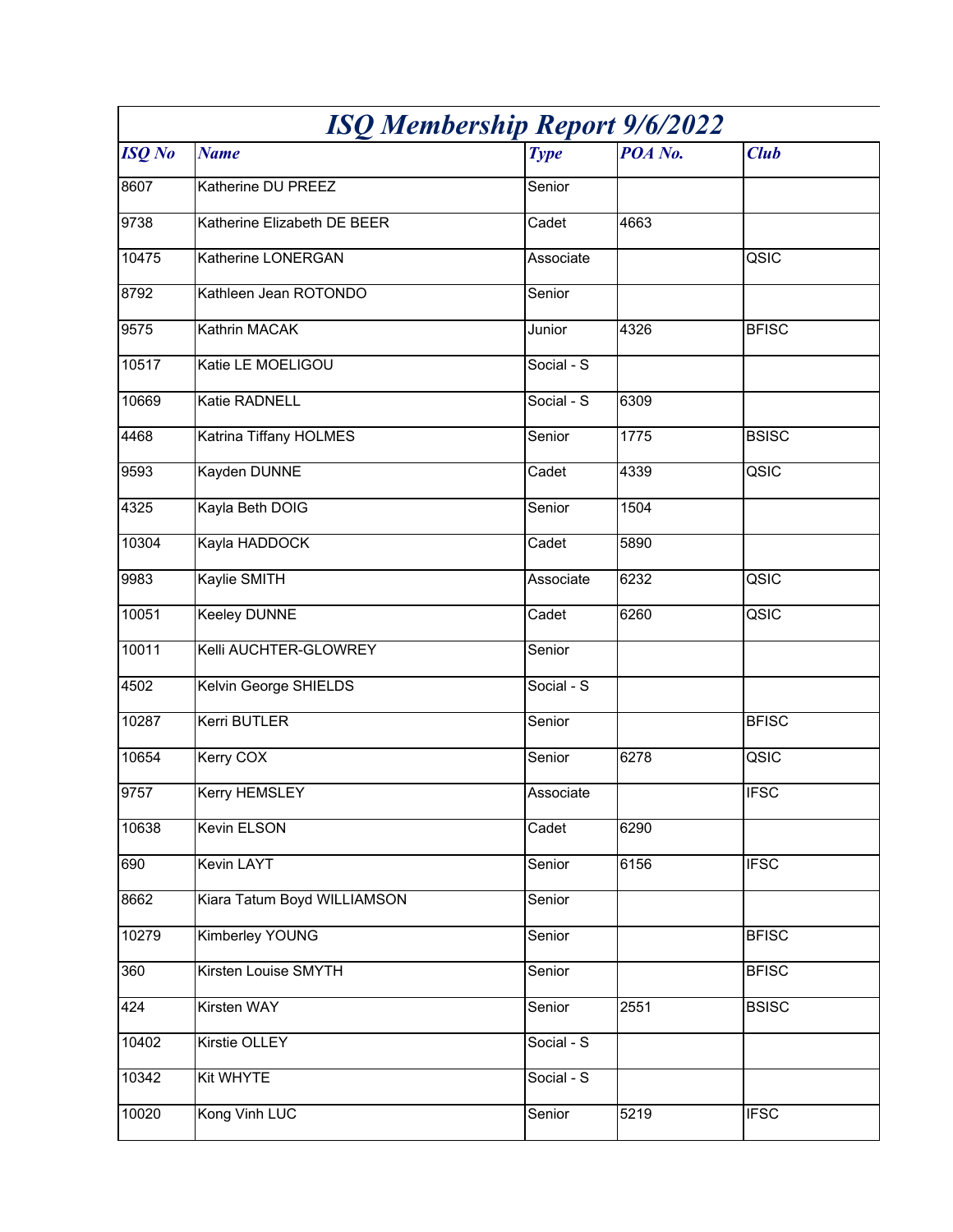| <b>ISQ Membership Report 9/6/2022</b> |                              |             |         |              |
|---------------------------------------|------------------------------|-------------|---------|--------------|
| <b>ISQ</b> No                         | <b>Name</b>                  | <b>Type</b> | POA No. | <b>Club</b>  |
| 8607                                  | Katherine DU PREEZ           | Senior      |         |              |
| 9738                                  | Katherine Elizabeth DE BEER  | Cadet       | 4663    |              |
| 10475                                 | Katherine LONERGAN           | Associate   |         | QSIC         |
| 8792                                  | Kathleen Jean ROTONDO        | Senior      |         |              |
| 9575                                  | Kathrin MACAK                | Junior      | 4326    | <b>BFISC</b> |
| 10517                                 | Katie LE MOELIGOU            | Social - S  |         |              |
| 10669                                 | Katie RADNELL                | Social - S  | 6309    |              |
| 4468                                  | Katrina Tiffany HOLMES       | Senior      | 1775    | <b>BSISC</b> |
| 9593                                  | Kayden DUNNE                 | Cadet       | 4339    | QSIC         |
| 4325                                  | Kayla Beth DOIG              | Senior      | 1504    |              |
| 10304                                 | Kayla HADDOCK                | Cadet       | 5890    |              |
| 9983                                  | Kaylie SMITH                 | Associate   | 6232    | QSIC         |
| 10051                                 | Keeley DUNNE                 | Cadet       | 6260    | QSIC         |
| 10011                                 | Kelli AUCHTER-GLOWREY        | Senior      |         |              |
| 4502                                  | <b>Kelvin George SHIELDS</b> | Social - S  |         |              |
| 10287                                 | Kerri BUTLER                 | Senior      |         | <b>BFISC</b> |
| 10654                                 | <b>Kerry COX</b>             | Senior      | 6278    | QSIC         |
| 9757                                  | Kerry HEMSLEY                | Associate   |         | <b>IFSC</b>  |
| 10638                                 | Kevin ELSON                  | Cadet       | 6290    |              |
| 690                                   | Kevin LAYT                   | Senior      | 6156    | <b>IFSC</b>  |
| 8662                                  | Kiara Tatum Boyd WILLIAMSON  | Senior      |         |              |
| 10279                                 | <b>Kimberley YOUNG</b>       | Senior      |         | <b>BFISC</b> |
| 360                                   | Kirsten Louise SMYTH         | Senior      |         | <b>BFISC</b> |
| 424                                   | Kirsten WAY                  | Senior      | 2551    | <b>BSISC</b> |
| 10402                                 | Kirstie OLLEY                | Social - S  |         |              |
| 10342                                 | <b>Kit WHYTE</b>             | Social - S  |         |              |
| 10020                                 | Kong Vinh LUC                | Senior      | 5219    | <b>IFSC</b>  |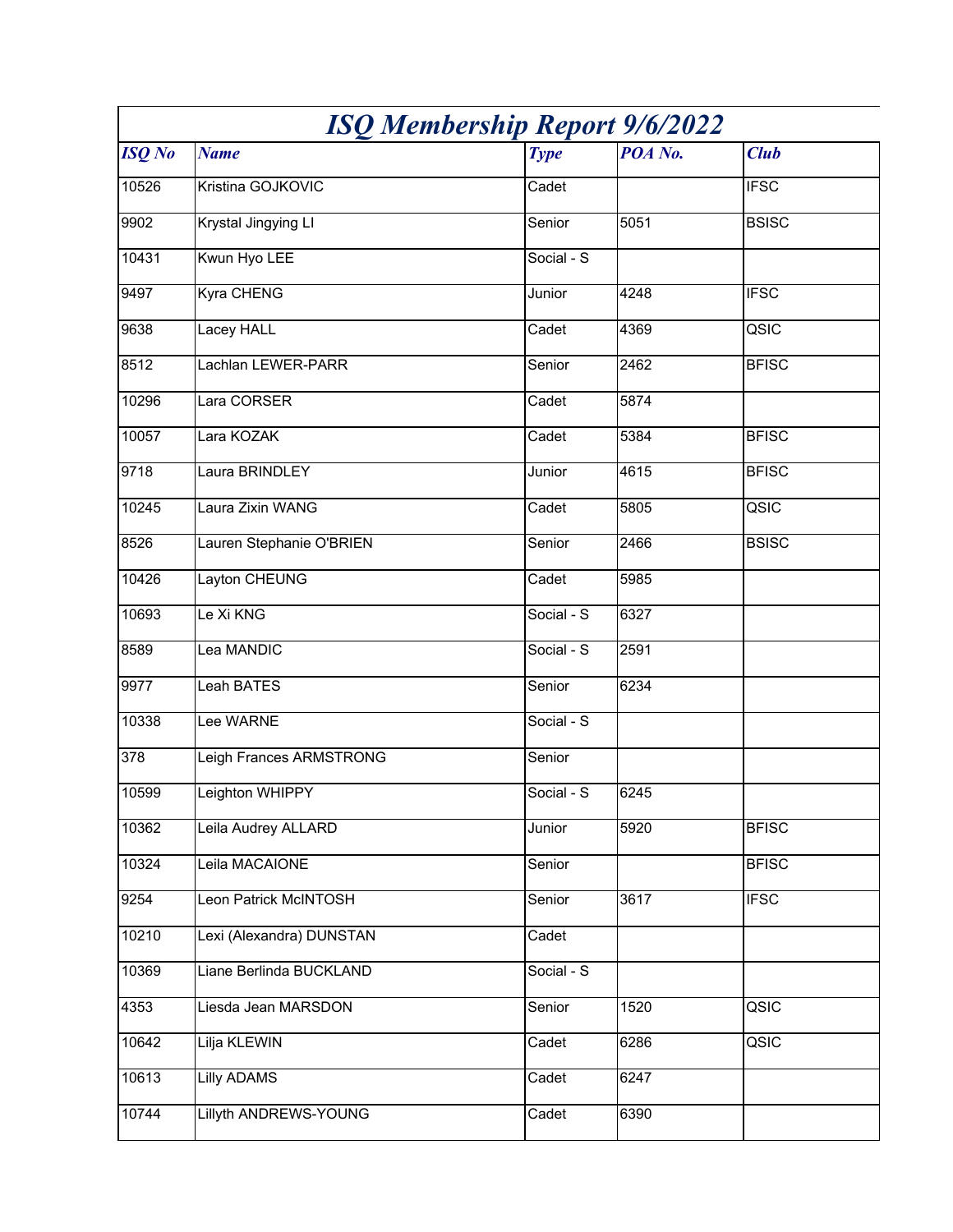| <b>ISQ Membership Report 9/6/2022</b> |                              |             |                   |              |
|---------------------------------------|------------------------------|-------------|-------------------|--------------|
| <b>ISQ</b> No                         | <b>Name</b>                  | <b>Type</b> | POA No.           | <b>Club</b>  |
| 10526                                 | Kristina GOJKOVIC            | Cadet       |                   | <b>IFSC</b>  |
| 9902                                  | Krystal Jingying LI          | Senior      | 5051              | <b>BSISC</b> |
| 10431                                 | Kwun Hyo LEE                 | Social - S  |                   |              |
| 9497                                  | Kyra CHENG                   | Junior      | 4248              | <b>IFSC</b>  |
| 9638                                  | Lacey HALL                   | Cadet       | 4369              | QSIC         |
| 8512                                  | Lachlan LEWER-PARR           | Senior      | 2462              | <b>BFISC</b> |
| 10296                                 | Lara CORSER                  | Cadet       | 5874              |              |
| 10057                                 | Lara KOZAK                   | Cadet       | 5384              | <b>BFISC</b> |
| 9718                                  | Laura BRINDLEY               | Junior      | 4615              | <b>BFISC</b> |
| 10245                                 | Laura Zixin WANG             | Cadet       | 5805              | QSIC         |
| 8526                                  | Lauren Stephanie O'BRIEN     | Senior      | 2466              | <b>BSISC</b> |
| 10426                                 | Layton CHEUNG                | Cadet       | 5985              |              |
| 10693                                 | Le Xi KNG                    | Social - S  | 6327              |              |
| 8589                                  | Lea MANDIC                   | Social - S  | 2591              |              |
| 9977                                  | Leah BATES                   | Senior      | 6234              |              |
| 10338                                 | Lee WARNE                    | Social - S  |                   |              |
| 378                                   | Leigh Frances ARMSTRONG      | Senior      |                   |              |
| 10599                                 | Leighton WHIPPY              | Social - S  | 6245              |              |
| 10362                                 | Leila Audrey ALLARD          | Junior      | 5920              | <b>BFISC</b> |
| 10324                                 | Leila MACAIONE               | Senior      |                   | <b>BFISC</b> |
| 9254                                  | Leon Patrick McINTOSH        | Senior      | $\overline{3617}$ | <b>IFSC</b>  |
| 10210                                 | Lexi (Alexandra) DUNSTAN     | Cadet       |                   |              |
| 10369                                 | Liane Berlinda BUCKLAND      | Social - S  |                   |              |
| 4353                                  | Liesda Jean MARSDON          | Senior      | 1520              | QSIC         |
| 10642                                 | Lilja KLEWIN                 | Cadet       | 6286              | QSIC         |
| 10613                                 | <b>Lilly ADAMS</b>           | Cadet       | 6247              |              |
| 10744                                 | <b>Lillyth ANDREWS-YOUNG</b> | Cadet       | 6390              |              |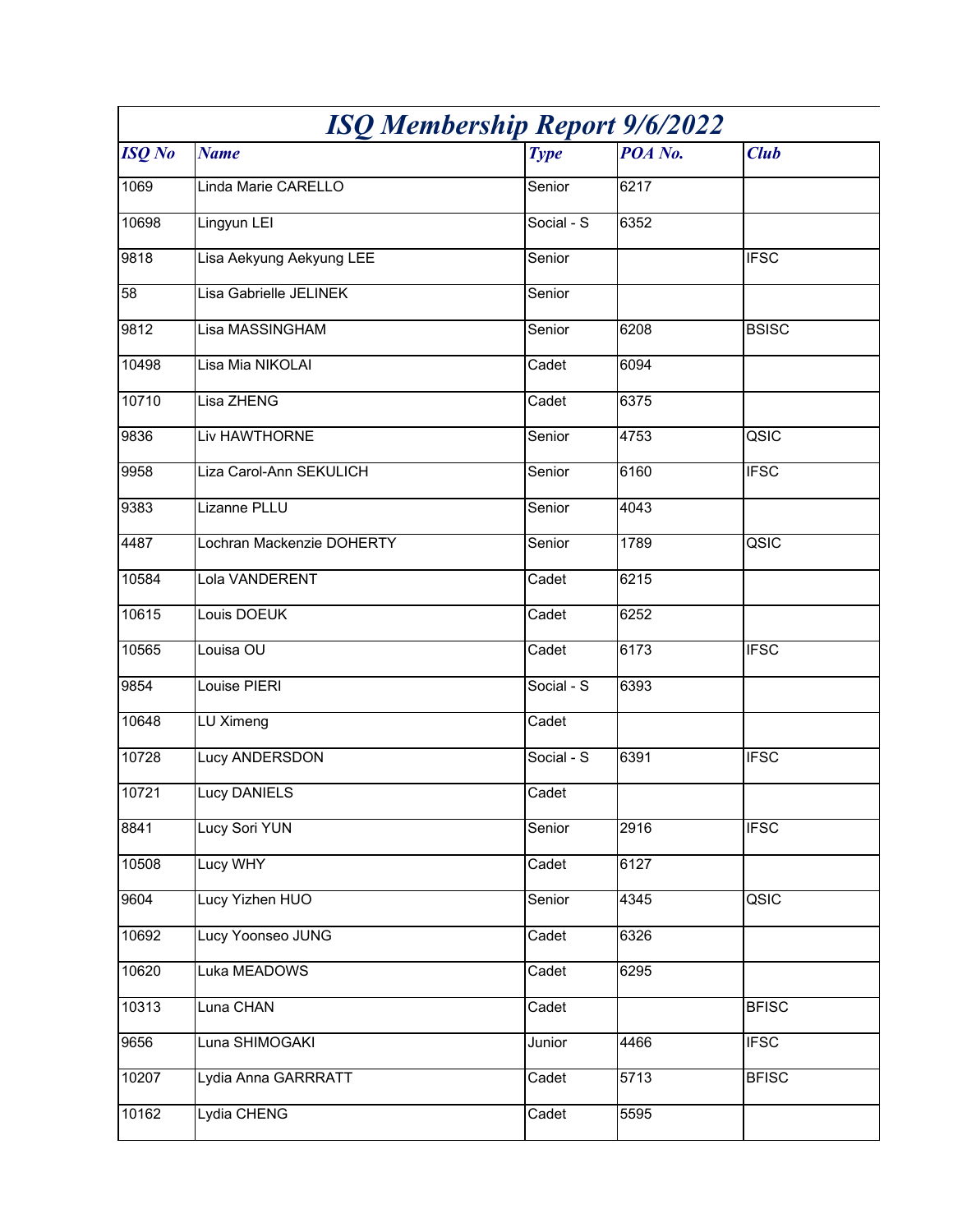| <b>ISQ Membership Report 9/6/2022</b> |                           |             |         |              |
|---------------------------------------|---------------------------|-------------|---------|--------------|
| <b>ISQ</b> No                         | <b>Name</b>               | <b>Type</b> | POA No. | <b>Club</b>  |
| 1069                                  | Linda Marie CARELLO       | Senior      | 6217    |              |
| 10698                                 | Lingyun LEI               | Social - S  | 6352    |              |
| 9818                                  | Lisa Aekyung Aekyung LEE  | Senior      |         | <b>IFSC</b>  |
| 58                                    | Lisa Gabrielle JELINEK    | Senior      |         |              |
| 9812                                  | Lisa MASSINGHAM           | Senior      | 6208    | <b>BSISC</b> |
| 10498                                 | Lisa Mia NIKOLAI          | Cadet       | 6094    |              |
| 10710                                 | Lisa ZHENG                | Cadet       | 6375    |              |
| 9836                                  | Liv HAWTHORNE             | Senior      | 4753    | QSIC         |
| 9958                                  | Liza Carol-Ann SEKULICH   | Senior      | 6160    | <b>IFSC</b>  |
| 9383                                  | Lizanne PLLU              | Senior      | 4043    |              |
| 4487                                  | Lochran Mackenzie DOHERTY | Senior      | 1789    | QSIC         |
| 10584                                 | Lola VANDERENT            | Cadet       | 6215    |              |
| 10615                                 | Louis DOEUK               | Cadet       | 6252    |              |
| 10565                                 | Louisa OU                 | Cadet       | 6173    | <b>IFSC</b>  |
| 9854                                  | Louise PIERI              | Social - S  | 6393    |              |
| 10648                                 | LU Ximeng                 | Cadet       |         |              |
| 10728                                 | Lucy ANDERSDON            | Social - S  | 6391    | <b>IFSC</b>  |
| 10721                                 | <b>Lucy DANIELS</b>       | Cadet       |         |              |
| 8841                                  | Lucy Sori YUN             | Senior      | 2916    | <b>IFSC</b>  |
| 10508                                 | Lucy WHY                  | Cadet       | 6127    |              |
| 9604                                  | Lucy Yizhen HUO           | Senior      | 4345    | QSIC         |
| 10692                                 | Lucy Yoonseo JUNG         | Cadet       | 6326    |              |
| 10620                                 | Luka MEADOWS              | Cadet       | 6295    |              |
| 10313                                 | Luna CHAN                 | Cadet       |         | <b>BFISC</b> |
| 9656                                  | Luna SHIMOGAKI            | Junior      | 4466    | <b>IFSC</b>  |
| 10207                                 | Lydia Anna GARRRATT       | Cadet       | 5713    | <b>BFISC</b> |
| 10162                                 | Lydia CHENG               | Cadet       | 5595    |              |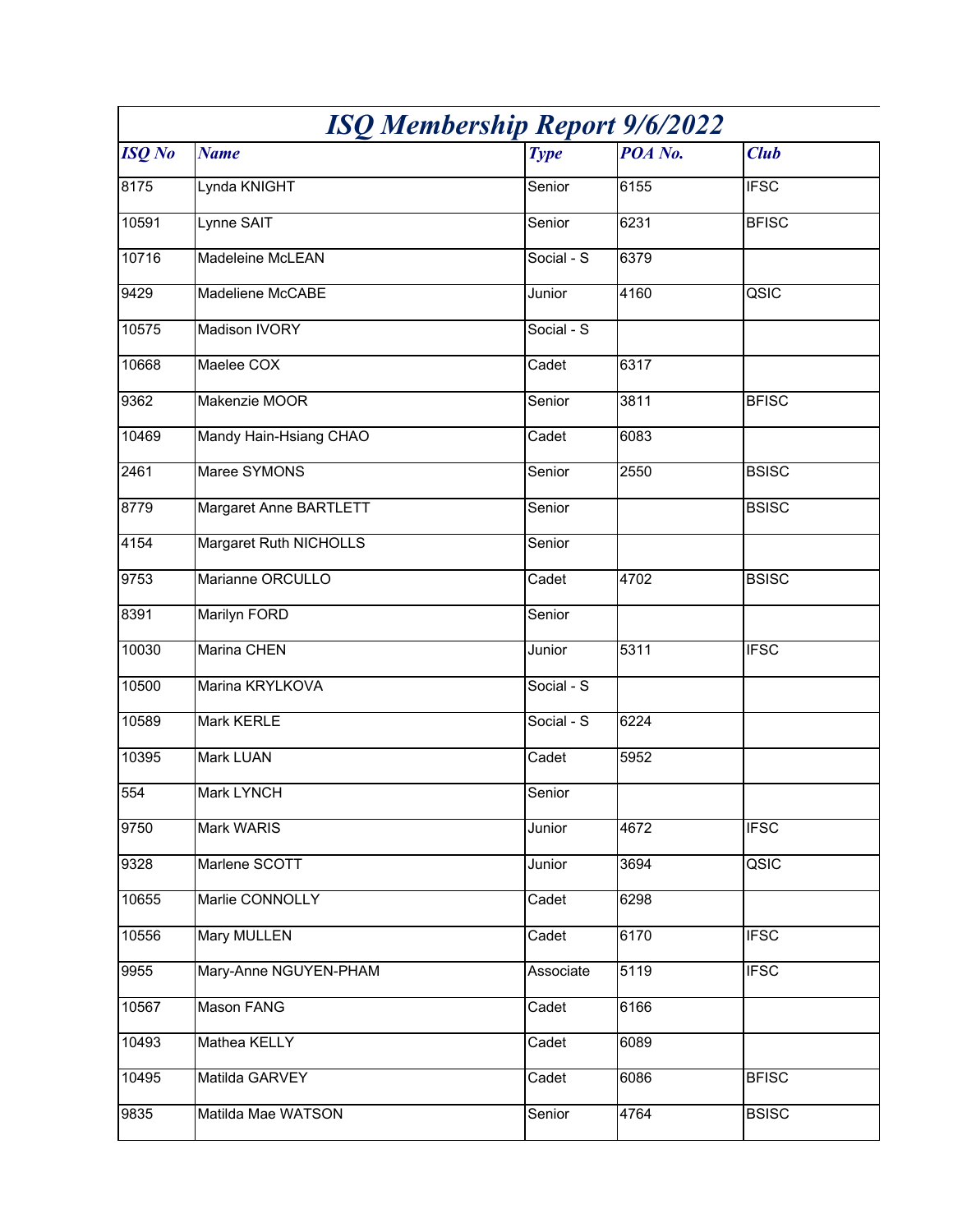| <b>ISQ Membership Report 9/6/2022</b> |                        |             |         |              |
|---------------------------------------|------------------------|-------------|---------|--------------|
| <b>ISQ</b> No                         | <b>Name</b>            | <b>Type</b> | POA No. | <b>Club</b>  |
| 8175                                  | Lynda KNIGHT           | Senior      | 6155    | <b>IFSC</b>  |
| 10591                                 | Lynne SAIT             | Senior      | 6231    | <b>BFISC</b> |
| 10716                                 | Madeleine McLEAN       | Social - S  | 6379    |              |
| 9429                                  | Madeliene McCABE       | Junior      | 4160    | QSIC         |
| 10575                                 | Madison IVORY          | Social - S  |         |              |
| 10668                                 | Maelee COX             | Cadet       | 6317    |              |
| 9362                                  | Makenzie MOOR          | Senior      | 3811    | <b>BFISC</b> |
| 10469                                 | Mandy Hain-Hsiang CHAO | Cadet       | 6083    |              |
| 2461                                  | Maree SYMONS           | Senior      | 2550    | <b>BSISC</b> |
| 8779                                  | Margaret Anne BARTLETT | Senior      |         | <b>BSISC</b> |
| 4154                                  | Margaret Ruth NICHOLLS | Senior      |         |              |
| 9753                                  | Marianne ORCULLO       | Cadet       | 4702    | <b>BSISC</b> |
| 8391                                  | Marilyn FORD           | Senior      |         |              |
| 10030                                 | Marina CHEN            | Junior      | 5311    | <b>IFSC</b>  |
| 10500                                 | Marina KRYLKOVA        | Social - S  |         |              |
| 10589                                 | Mark KERLE             | Social - S  | 6224    |              |
| 10395                                 | Mark LUAN              | Cadet       | 5952    |              |
| 554                                   | Mark LYNCH             | Senior      |         |              |
| 9750                                  | Mark WARIS             | Junior      | 4672    | <b>IFSC</b>  |
| 9328                                  | Marlene SCOTT          | Junior      | 3694    | QSIC         |
| 10655                                 | Marlie CONNOLLY        | Cadet       | 6298    |              |
| 10556                                 | <b>Mary MULLEN</b>     | Cadet       | 6170    | <b>IFSC</b>  |
| 9955                                  | Mary-Anne NGUYEN-PHAM  | Associate   | 5119    | <b>IFSC</b>  |
| 10567                                 | Mason FANG             | Cadet       | 6166    |              |
| 10493                                 | Mathea KELLY           | Cadet       | 6089    |              |
| 10495                                 | Matilda GARVEY         | Cadet       | 6086    | <b>BFISC</b> |
| 9835                                  | Matilda Mae WATSON     | Senior      | 4764    | <b>BSISC</b> |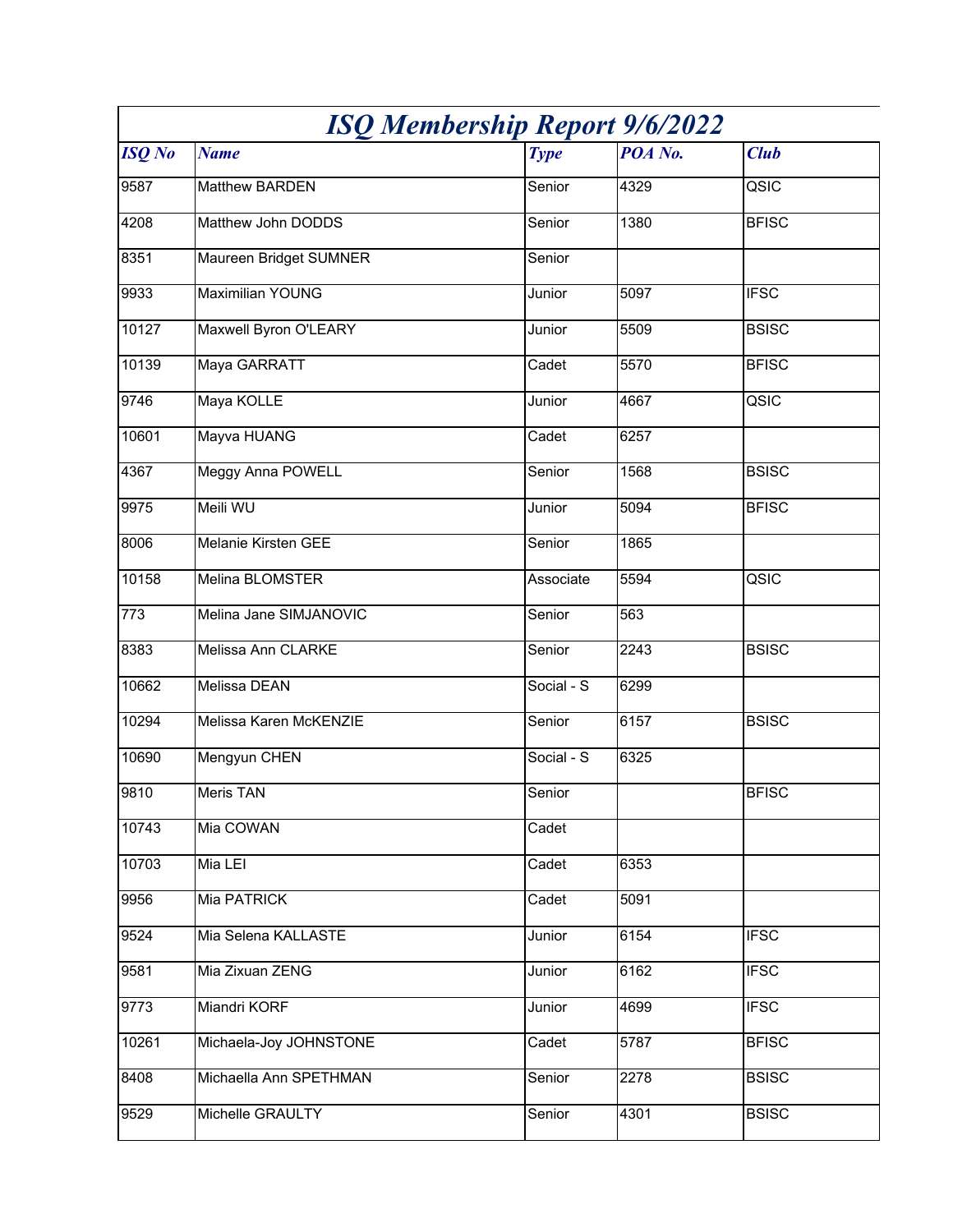| <b>ISQ Membership Report 9/6/2022</b> |                          |             |         |              |
|---------------------------------------|--------------------------|-------------|---------|--------------|
| <b>ISQ</b> No                         | <b>Name</b>              | <b>Type</b> | POA No. | <b>Club</b>  |
| 9587                                  | Matthew BARDEN           | Senior      | 4329    | QSIC         |
| 4208                                  | Matthew John DODDS       | Senior      | 1380    | <b>BFISC</b> |
| 8351                                  | Maureen Bridget SUMNER   | Senior      |         |              |
| 9933                                  | <b>Maximilian YOUNG</b>  | Junior      | 5097    | <b>IFSC</b>  |
| 10127                                 | Maxwell Byron O'LEARY    | Junior      | 5509    | <b>BSISC</b> |
| 10139                                 | Maya GARRATT             | Cadet       | 5570    | <b>BFISC</b> |
| 9746                                  | Maya KOLLE               | Junior      | 4667    | QSIC         |
| 10601                                 | Mayva HUANG              | Cadet       | 6257    |              |
| 4367                                  | <b>Meggy Anna POWELL</b> | Senior      | 1568    | <b>BSISC</b> |
| 9975                                  | Meili WU                 | Junior      | 5094    | <b>BFISC</b> |
| 8006                                  | Melanie Kirsten GEE      | Senior      | 1865    |              |
| 10158                                 | Melina BLOMSTER          | Associate   | 5594    | QSIC         |
| 773                                   | Melina Jane SIMJANOVIC   | Senior      | 563     |              |
| 8383                                  | Melissa Ann CLARKE       | Senior      | 2243    | <b>BSISC</b> |
| 10662                                 | Melissa DEAN             | Social - S  | 6299    |              |
| 10294                                 | Melissa Karen McKENZIE   | Senior      | 6157    | <b>BSISC</b> |
| 10690                                 | Mengyun CHEN             | Social - S  | 6325    |              |
| 9810                                  | <b>Meris TAN</b>         | Senior      |         | <b>BFISC</b> |
| 10743                                 | Mia COWAN                | Cadet       |         |              |
| 10703                                 | Mia LEI                  | Cadet       | 6353    |              |
| 9956                                  | Mia PATRICK              | Cadet       | 5091    |              |
| 9524                                  | Mia Selena KALLASTE      | Junior      | 6154    | <b>IFSC</b>  |
| 9581                                  | Mia Zixuan ZENG          | Junior      | 6162    | <b>IFSC</b>  |
| 9773                                  | Miandri KORF             | Junior      | 4699    | <b>IFSC</b>  |
| 10261                                 | Michaela-Joy JOHNSTONE   | Cadet       | 5787    | <b>BFISC</b> |
| 8408                                  | Michaella Ann SPETHMAN   | Senior      | 2278    | <b>BSISC</b> |
| 9529                                  | Michelle GRAULTY         | Senior      | 4301    | <b>BSISC</b> |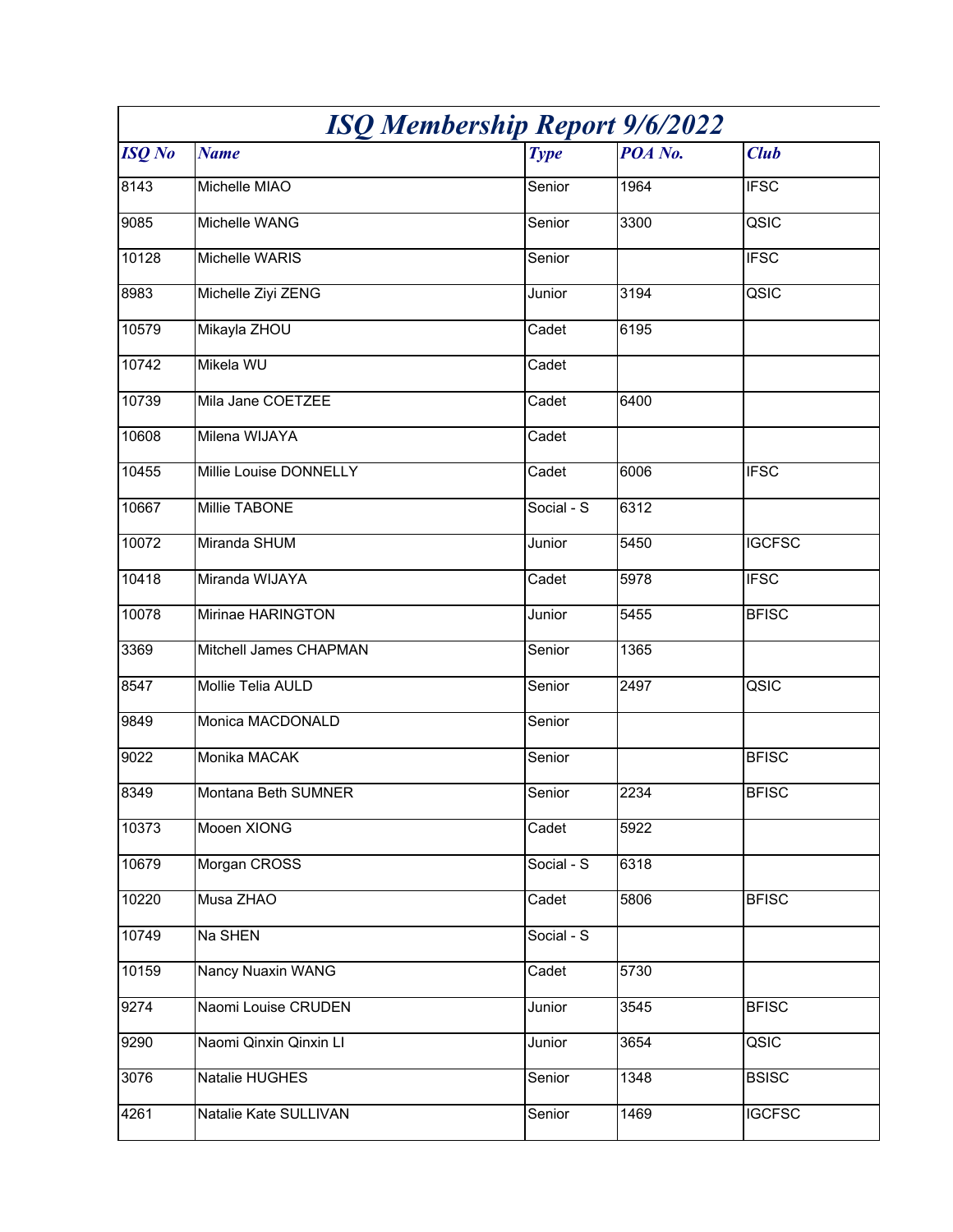| <b>ISQ Membership Report 9/6/2022</b> |                          |             |         |               |
|---------------------------------------|--------------------------|-------------|---------|---------------|
| <b>ISQ</b> No                         | <b>Name</b>              | <b>Type</b> | POA No. | <b>Club</b>   |
| 8143                                  | Michelle MIAO            | Senior      | 1964    | <b>IFSC</b>   |
| 9085                                  | Michelle WANG            | Senior      | 3300    | QSIC          |
| 10128                                 | Michelle WARIS           | Senior      |         | <b>IFSC</b>   |
| 8983                                  | Michelle Ziyi ZENG       | Junior      | 3194    | QSIC          |
| 10579                                 | Mikayla ZHOU             | Cadet       | 6195    |               |
| 10742                                 | Mikela WU                | Cadet       |         |               |
| 10739                                 | Mila Jane COETZEE        | Cadet       | 6400    |               |
| 10608                                 | Milena WIJAYA            | Cadet       |         |               |
| 10455                                 | Millie Louise DONNELLY   | Cadet       | 6006    | <b>IFSC</b>   |
| 10667                                 | Millie TABONE            | Social - S  | 6312    |               |
| 10072                                 | Miranda SHUM             | Junior      | 5450    | <b>IGCFSC</b> |
| 10418                                 | Miranda WIJAYA           | Cadet       | 5978    | <b>IFSC</b>   |
| 10078                                 | Mirinae HARINGTON        | Junior      | 5455    | <b>BFISC</b>  |
| 3369                                  | Mitchell James CHAPMAN   | Senior      | 1365    |               |
| 8547                                  | Mollie Telia AULD        | Senior      | 2497    | QSIC          |
| 9849                                  | Monica MACDONALD         | Senior      |         |               |
| 9022                                  | Monika MACAK             | Senior      |         | <b>BFISC</b>  |
| 8349                                  | Montana Beth SUMNER      | Senior      | 2234    | <b>BFISC</b>  |
| 10373                                 | Mooen XIONG              | Cadet       | 5922    |               |
| 10679                                 | Morgan CROSS             | Social - S  | 6318    |               |
| 10220                                 | Musa ZHAO                | Cadet       | 5806    | <b>BFISC</b>  |
| 10749                                 | Na SHEN                  | Social - S  |         |               |
| 10159                                 | <b>Nancy Nuaxin WANG</b> | Cadet       | 5730    |               |
| 9274                                  | Naomi Louise CRUDEN      | Junior      | 3545    | <b>BFISC</b>  |
| 9290                                  | Naomi Qinxin Qinxin Ll   | Junior      | 3654    | QSIC          |
| 3076                                  | Natalie HUGHES           | Senior      | 1348    | <b>BSISC</b>  |
| 4261                                  | Natalie Kate SULLIVAN    | Senior      | 1469    | <b>IGCFSC</b> |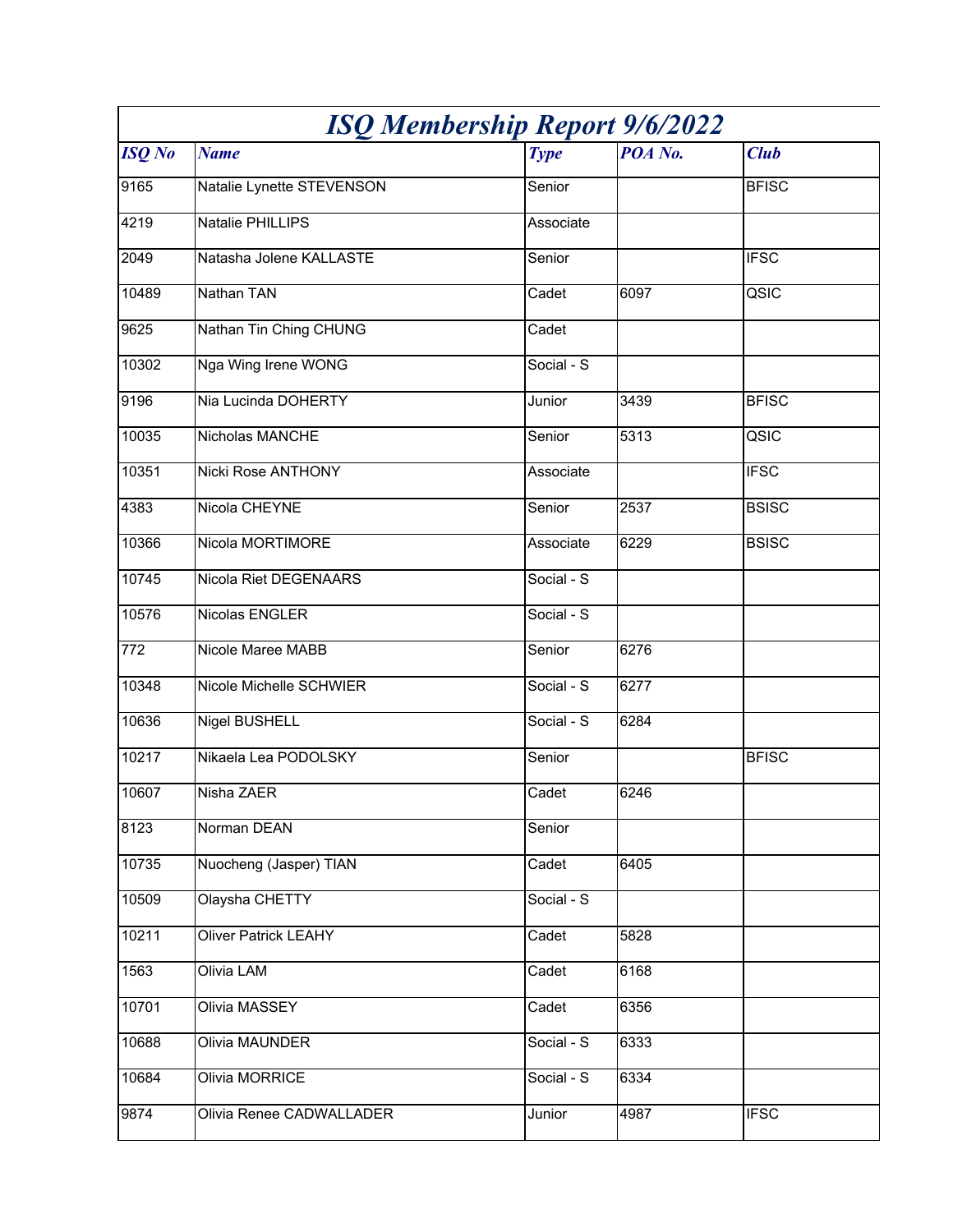| <b>ISQ Membership Report 9/6/2022</b> |                             |             |         |              |
|---------------------------------------|-----------------------------|-------------|---------|--------------|
| <b>ISQ</b> No                         | <b>Name</b>                 | <b>Type</b> | POA No. | <b>Club</b>  |
| 9165                                  | Natalie Lynette STEVENSON   | Senior      |         | <b>BFISC</b> |
| 4219                                  | Natalie PHILLIPS            | Associate   |         |              |
| 2049                                  | Natasha Jolene KALLASTE     | Senior      |         | <b>IFSC</b>  |
| 10489                                 | Nathan TAN                  | Cadet       | 6097    | QSIC         |
| 9625                                  | Nathan Tin Ching CHUNG      | Cadet       |         |              |
| 10302                                 | Nga Wing Irene WONG         | Social - S  |         |              |
| 9196                                  | Nia Lucinda DOHERTY         | Junior      | 3439    | <b>BFISC</b> |
| 10035                                 | Nicholas MANCHE             | Senior      | 5313    | QSIC         |
| 10351                                 | Nicki Rose ANTHONY          | Associate   |         | <b>IFSC</b>  |
| 4383                                  | Nicola CHEYNE               | Senior      | 2537    | <b>BSISC</b> |
| 10366                                 | Nicola MORTIMORE            | Associate   | 6229    | <b>BSISC</b> |
| 10745                                 | Nicola Riet DEGENAARS       | Social - S  |         |              |
| 10576                                 | Nicolas ENGLER              | Social - S  |         |              |
| 772                                   | Nicole Maree MABB           | Senior      | 6276    |              |
| 10348                                 | Nicole Michelle SCHWIER     | Social - S  | 6277    |              |
| 10636                                 | Nigel BUSHELL               | Social - S  | 6284    |              |
| 10217                                 | Nikaela Lea PODOLSKY        | Senior      |         | <b>BFISC</b> |
| 10607                                 | Nisha ZAER                  | Cadet       | 6246    |              |
| 8123                                  | Norman DEAN                 | Senior      |         |              |
| 10735                                 | Nuocheng (Jasper) TIAN      | Cadet       | 6405    |              |
| 10509                                 | Olaysha CHETTY              | Social - S  |         |              |
| 10211                                 | <b>Oliver Patrick LEAHY</b> | Cadet       | 5828    |              |
| 1563                                  | Olivia LAM                  | Cadet       | 6168    |              |
| 10701                                 | Olivia MASSEY               | Cadet       | 6356    |              |
| 10688                                 | Olivia MAUNDER              | Social - S  | 6333    |              |
| 10684                                 | Olivia MORRICE              | Social - S  | 6334    |              |
| 9874                                  | Olivia Renee CADWALLADER    | Junior      | 4987    | <b>IFSC</b>  |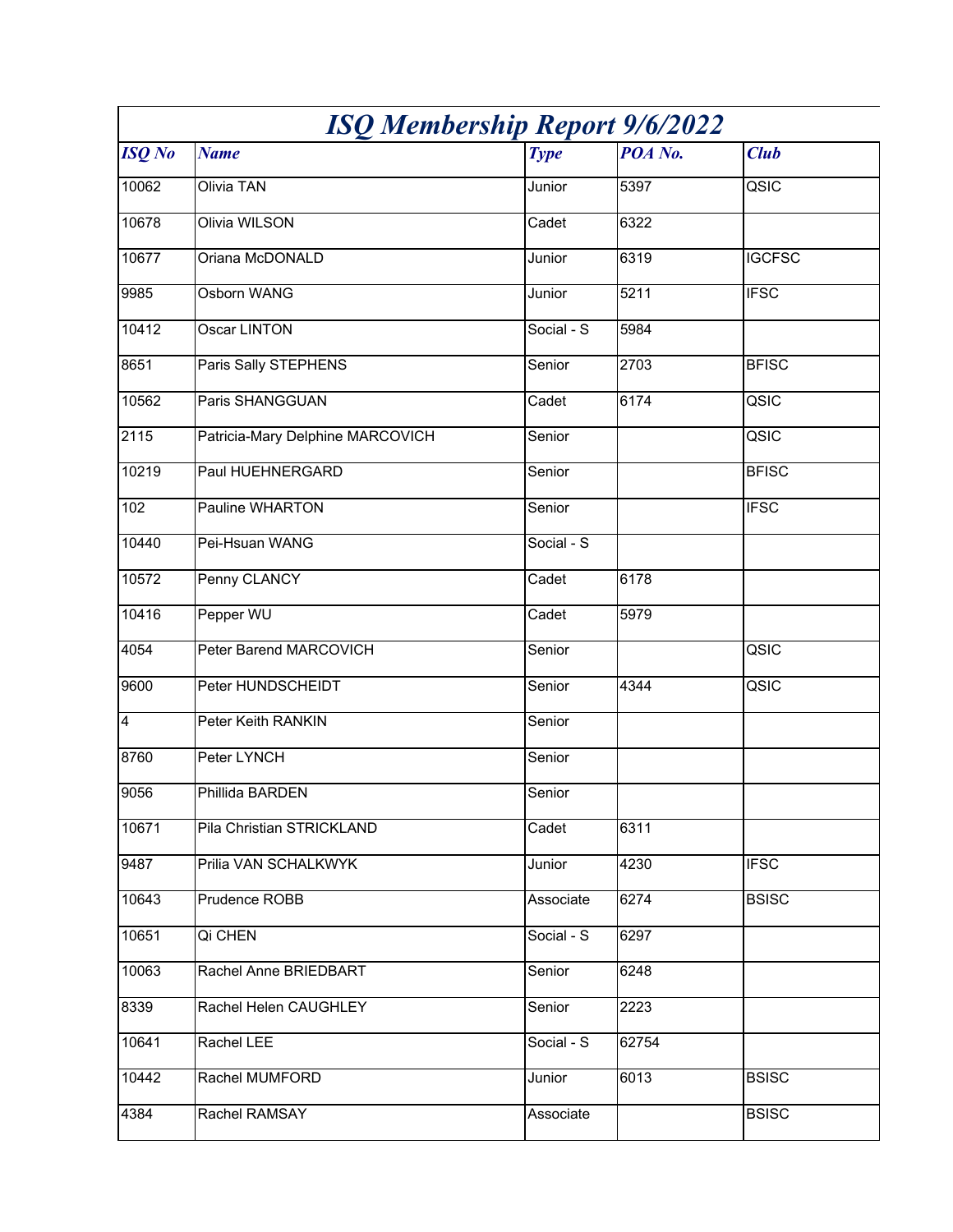| <b>ISQ Membership Report 9/6/2022</b> |                                  |             |         |                          |
|---------------------------------------|----------------------------------|-------------|---------|--------------------------|
| <b>ISQ</b> No                         | <b>Name</b>                      | <b>Type</b> | POA No. | <b>Club</b>              |
| 10062                                 | <b>Olivia TAN</b>                | Junior      | 5397    | QSIC                     |
| 10678                                 | <b>Olivia WILSON</b>             | Cadet       | 6322    |                          |
| 10677                                 | Oriana McDONALD                  | Junior      | 6319    | <b>IGCFSC</b>            |
| 9985                                  | Osborn WANG                      | Junior      | 5211    | <b>IFSC</b>              |
| 10412                                 | <b>Oscar LINTON</b>              | Social - S  | 5984    |                          |
| 8651                                  | Paris Sally STEPHENS             | Senior      | 2703    | <b>BFISC</b>             |
| 10562                                 | Paris SHANGGUAN                  | Cadet       | 6174    | QSIC                     |
| 2115                                  | Patricia-Mary Delphine MARCOVICH | Senior      |         | $\overline{\text{QSIC}}$ |
| 10219                                 | Paul HUEHNERGARD                 | Senior      |         | <b>BFISC</b>             |
| 102                                   | Pauline WHARTON                  | Senior      |         | <b>IFSC</b>              |
| 10440                                 | Pei-Hsuan WANG                   | Social - S  |         |                          |
| 10572                                 | Penny CLANCY                     | Cadet       | 6178    |                          |
| 10416                                 | Pepper WU                        | Cadet       | 5979    |                          |
| 4054                                  | Peter Barend MARCOVICH           | Senior      |         | QSIC                     |
| 9600                                  | Peter HUNDSCHEIDT                | Senior      | 4344    | QSIC                     |
| $\overline{4}$                        | Peter Keith RANKIN               | Senior      |         |                          |
| 8760                                  | Peter LYNCH                      | Senior      |         |                          |
| 9056                                  | Phillida BARDEN                  | Senior      |         |                          |
| 10671                                 | Pila Christian STRICKLAND        | Cadet       | 6311    |                          |
| 9487                                  | Prilia VAN SCHALKWYK             | Junior      | 4230    | <b>IFSC</b>              |
| 10643                                 | Prudence ROBB                    | Associate   | 6274    | <b>BSISC</b>             |
| 10651                                 | Qi CHEN                          | Social - S  | 6297    |                          |
| 10063                                 | Rachel Anne BRIEDBART            | Senior      | 6248    |                          |
| 8339                                  | Rachel Helen CAUGHLEY            | Senior      | 2223    |                          |
| 10641                                 | Rachel LEE                       | Social - S  | 62754   |                          |
| 10442                                 | Rachel MUMFORD                   | Junior      | 6013    | <b>BSISC</b>             |
| 4384                                  | Rachel RAMSAY                    | Associate   |         | <b>BSISC</b>             |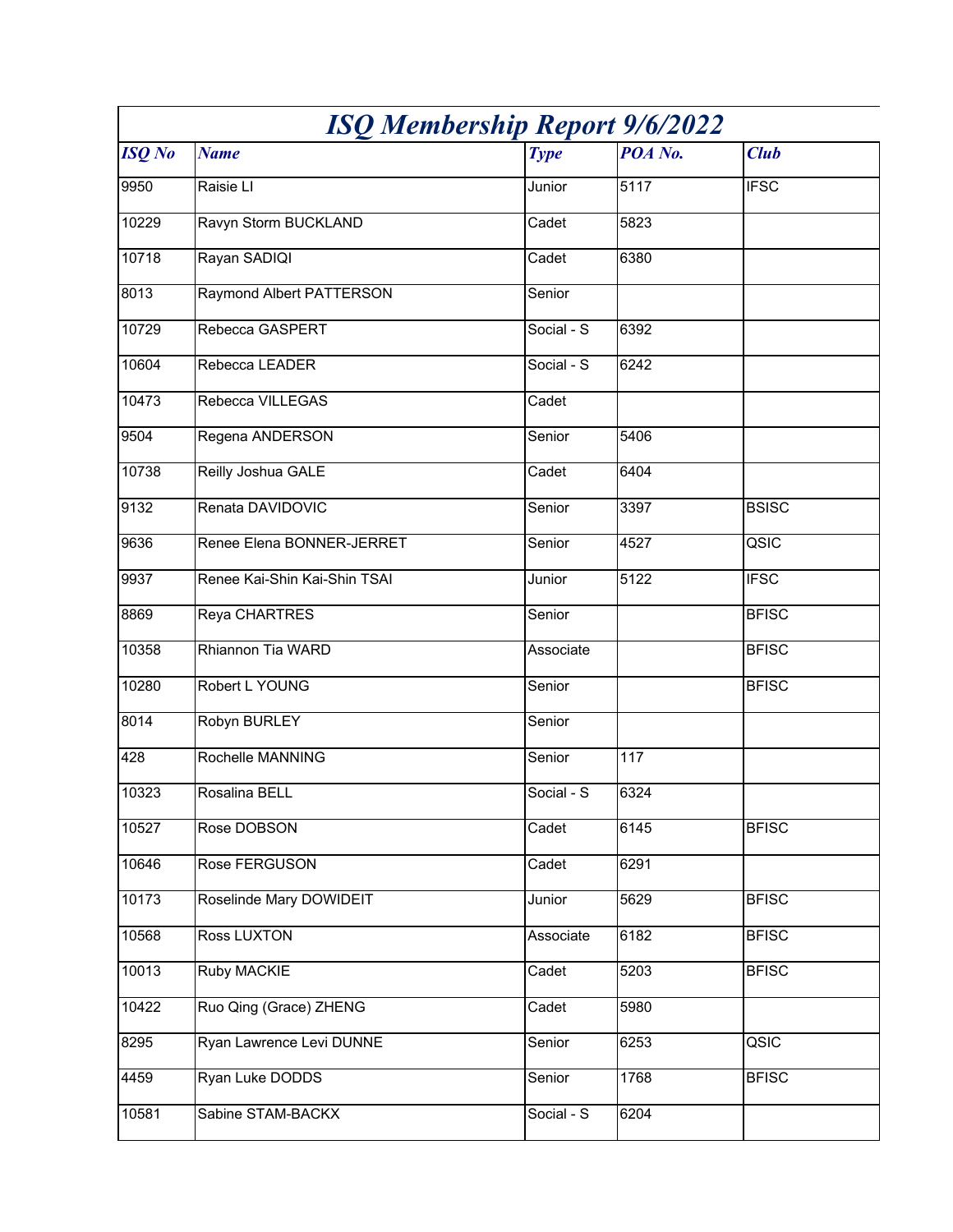| <b>ISQ Membership Report 9/6/2022</b> |                              |             |         |              |
|---------------------------------------|------------------------------|-------------|---------|--------------|
| <b>ISQ</b> No                         | <b>Name</b>                  | <b>Type</b> | POA No. | <b>Club</b>  |
| 9950                                  | Raisie LI                    | Junior      | 5117    | <b>IFSC</b>  |
| 10229                                 | Ravyn Storm BUCKLAND         | Cadet       | 5823    |              |
| 10718                                 | Rayan SADIQI                 | Cadet       | 6380    |              |
| 8013                                  | Raymond Albert PATTERSON     | Senior      |         |              |
| 10729                                 | Rebecca GASPERT              | Social - S  | 6392    |              |
| 10604                                 | Rebecca LEADER               | Social - S  | 6242    |              |
| 10473                                 | Rebecca VILLEGAS             | Cadet       |         |              |
| 9504                                  | Regena ANDERSON              | Senior      | 5406    |              |
| 10738                                 | Reilly Joshua GALE           | Cadet       | 6404    |              |
| 9132                                  | Renata DAVIDOVIC             | Senior      | 3397    | <b>BSISC</b> |
| 9636                                  | Renee Elena BONNER-JERRET    | Senior      | 4527    | QSIC         |
| 9937                                  | Renee Kai-Shin Kai-Shin TSAI | Junior      | 5122    | <b>IFSC</b>  |
| 8869                                  | Reya CHARTRES                | Senior      |         | <b>BFISC</b> |
| 10358                                 | Rhiannon Tia WARD            | Associate   |         | <b>BFISC</b> |
| 10280                                 | Robert L YOUNG               | Senior      |         | <b>BFISC</b> |
| 8014                                  | Robyn BURLEY                 | Senior      |         |              |
| 428                                   | Rochelle MANNING             | Senior      | 117     |              |
| 10323                                 | Rosalina BELL                | Social - S  | 6324    |              |
| 10527                                 | Rose DOBSON                  | Cadet       | 6145    | <b>BFISC</b> |
| 10646                                 | Rose FERGUSON                | Cadet       | 6291    |              |
| 10173                                 | Roselinde Mary DOWIDEIT      | Junior      | 5629    | <b>BFISC</b> |
| 10568                                 | Ross LUXTON                  | Associate   | 6182    | <b>BFISC</b> |
| 10013                                 | <b>Ruby MACKIE</b>           | Cadet       | 5203    | <b>BFISC</b> |
| 10422                                 | Ruo Qing (Grace) ZHENG       | Cadet       | 5980    |              |
| 8295                                  | Ryan Lawrence Levi DUNNE     | Senior      | 6253    | QSIC         |
| 4459                                  | Ryan Luke DODDS              | Senior      | 1768    | <b>BFISC</b> |
| 10581                                 | Sabine STAM-BACKX            | Social - S  | 6204    |              |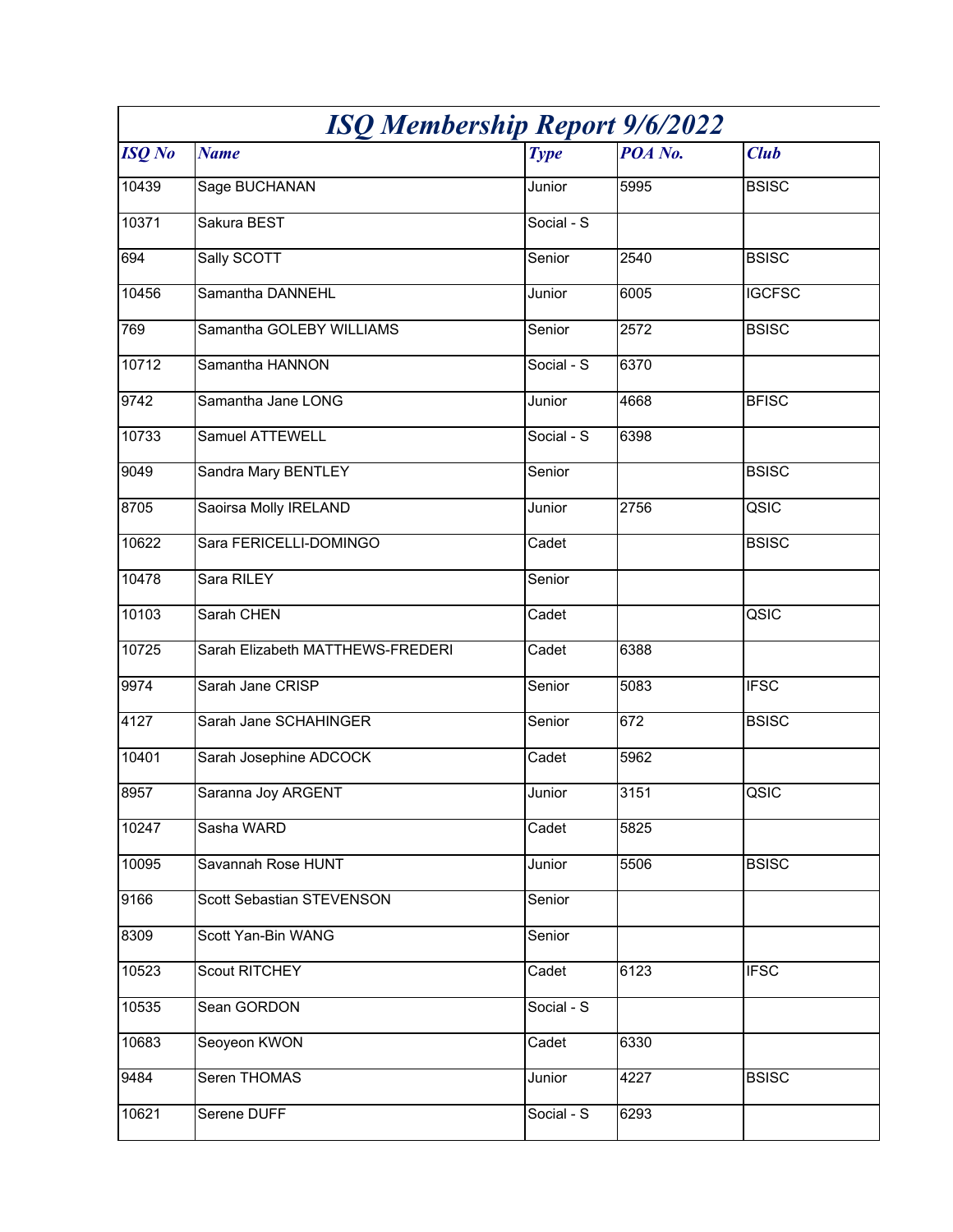| <b>ISQ Membership Report 9/6/2022</b> |                                  |                     |         |               |
|---------------------------------------|----------------------------------|---------------------|---------|---------------|
| <b>ISQ</b> No                         | <b>Name</b>                      | <b>Type</b>         | POA No. | <b>Club</b>   |
| 10439                                 | Sage BUCHANAN                    | Junior              | 5995    | <b>BSISC</b>  |
| 10371                                 | Sakura BEST                      | Social - S          |         |               |
| 694                                   | Sally SCOTT                      | Senior              | 2540    | <b>BSISC</b>  |
| 10456                                 | Samantha DANNEHL                 | Junior              | 6005    | <b>IGCFSC</b> |
| 769                                   | Samantha GOLEBY WILLIAMS         | Senior              | 2572    | <b>BSISC</b>  |
| 10712                                 | Samantha HANNON                  | Social - S          | 6370    |               |
| 9742                                  | Samantha Jane LONG               | Junior              | 4668    | <b>BFISC</b>  |
| 10733                                 | Samuel ATTEWELL                  | Social - S          | 6398    |               |
| 9049                                  | Sandra Mary BENTLEY              | Senior              |         | <b>BSISC</b>  |
| 8705                                  | Saoirsa Molly IRELAND            | Junior              | 2756    | QSIC          |
| 10622                                 | Sara FERICELLI-DOMINGO           | Cadet               |         | <b>BSISC</b>  |
| 10478                                 | Sara RILEY                       | Senior              |         |               |
| 10103                                 | Sarah CHEN                       | Cadet               |         | QSIC          |
| 10725                                 | Sarah Elizabeth MATTHEWS-FREDERI | Cadet               | 6388    |               |
| 9974                                  | Sarah Jane CRISP                 | Senior              | 5083    | <b>IFSC</b>   |
| 4127                                  | Sarah Jane SCHAHINGER            | Senior              | 672     | <b>BSISC</b>  |
| 10401                                 | Sarah Josephine ADCOCK           | Cadet               | 5962    |               |
| 8957                                  | Saranna Joy ARGENT               | Junior              | 3151    | QSIC          |
| 10247                                 | Sasha WARD                       | $\overline{C}$ adet | 5825    |               |
| 10095                                 | Savannah Rose HUNT               | Junior              | 5506    | <b>BSISC</b>  |
| 9166                                  | Scott Sebastian STEVENSON        | Senior              |         |               |
| 8309                                  | Scott Yan-Bin WANG               | Senior              |         |               |
| 10523                                 | <b>Scout RITCHEY</b>             | Cadet               | 6123    | <b>IFSC</b>   |
| 10535                                 | Sean GORDON                      | Social - S          |         |               |
| 10683                                 | Seoyeon KWON                     | Cadet               | 6330    |               |
| 9484                                  | Seren THOMAS                     | Junior              | 4227    | <b>BSISC</b>  |
| 10621                                 | Serene DUFF                      | Social - S          | 6293    |               |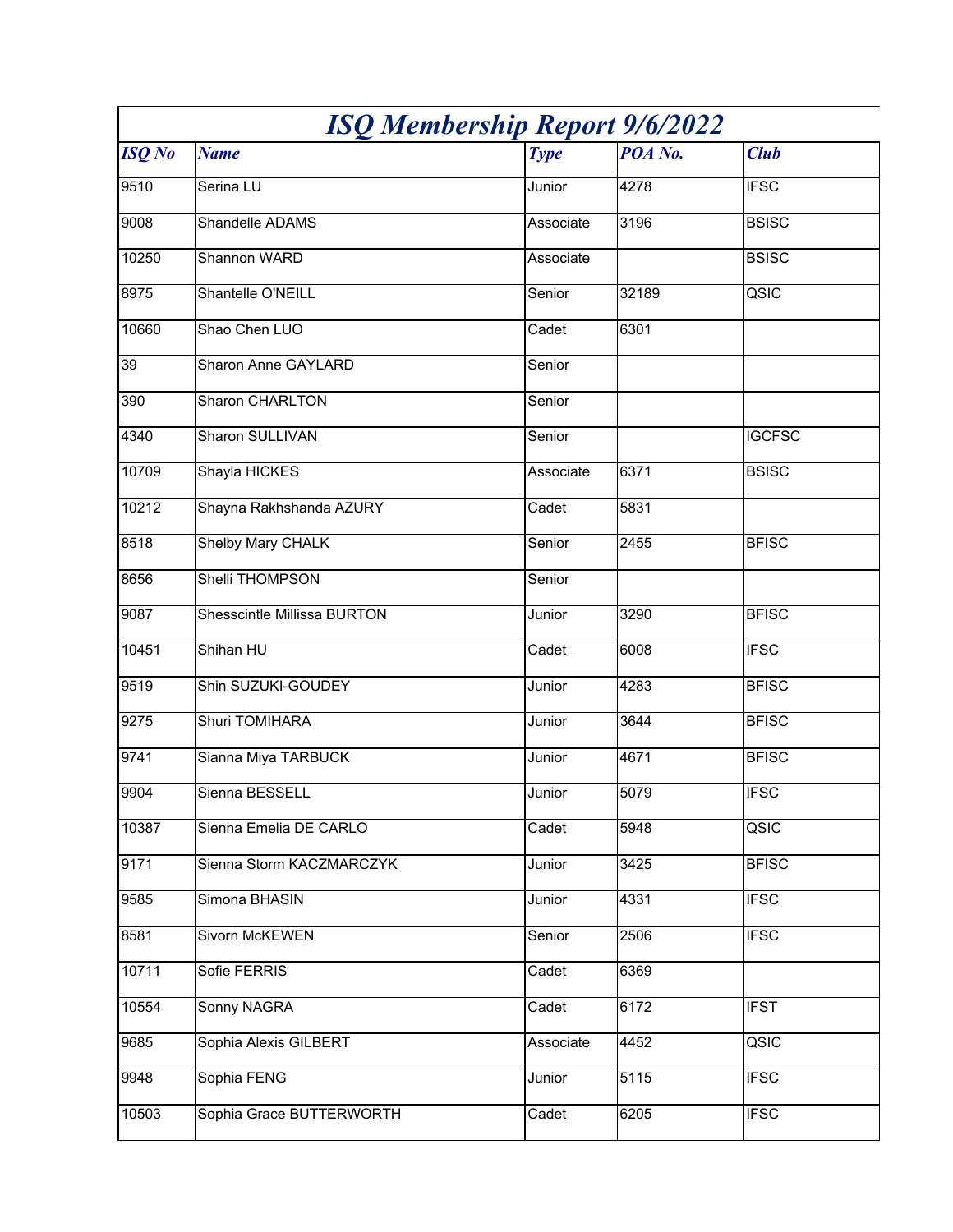| <b>ISQ Membership Report 9/6/2022</b> |                             |             |         |               |
|---------------------------------------|-----------------------------|-------------|---------|---------------|
| <b>ISQ</b> No                         | <b>Name</b>                 | <b>Type</b> | POA No. | <b>Club</b>   |
| 9510                                  | Serina LU                   | Junior      | 4278    | <b>IFSC</b>   |
| 9008                                  | Shandelle ADAMS             | Associate   | 3196    | <b>BSISC</b>  |
| 10250                                 | Shannon WARD                | Associate   |         | <b>BSISC</b>  |
| 8975                                  | Shantelle O'NEILL           | Senior      | 32189   | QSIC          |
| 10660                                 | Shao Chen LUO               | Cadet       | 6301    |               |
| 39                                    | Sharon Anne GAYLARD         | Senior      |         |               |
| 390                                   | Sharon CHARLTON             | Senior      |         |               |
| 4340                                  | <b>Sharon SULLIVAN</b>      | Senior      |         | <b>IGCFSC</b> |
| 10709                                 | Shayla HICKES               | Associate   | 6371    | <b>BSISC</b>  |
| 10212                                 | Shayna Rakhshanda AZURY     | Cadet       | 5831    |               |
| 8518                                  | <b>Shelby Mary CHALK</b>    | Senior      | 2455    | <b>BFISC</b>  |
| 8656                                  | <b>Shelli THOMPSON</b>      | Senior      |         |               |
| 9087                                  | Shesscintle Millissa BURTON | Junior      | 3290    | <b>BFISC</b>  |
| 10451                                 | Shihan HU                   | Cadet       | 6008    | <b>IFSC</b>   |
| 9519                                  | Shin SUZUKI-GOUDEY          | Junior      | 4283    | <b>BFISC</b>  |
| 9275                                  | Shuri TOMIHARA              | Junior      | 3644    | <b>BFISC</b>  |
| 9741                                  | Sianna Miya TARBUCK         | Junior      | 4671    | <b>BFISC</b>  |
| 9904                                  | Sienna BESSELL              | Junior      | 5079    | <b>IFSC</b>   |
| 10387                                 | Sienna Emelia DE CARLO      | Cadet       | 5948    | QSIC          |
| 9171                                  | Sienna Storm KACZMARCZYK    | Junior      | 3425    | <b>BFISC</b>  |
| 9585                                  | Simona BHASIN               | Junior      | 4331    | <b>IFSC</b>   |
| 8581                                  | <b>Sivorn McKEWEN</b>       | Senior      | 2506    | <b>IFSC</b>   |
| 10711                                 | Sofie FERRIS                | Cadet       | 6369    |               |
| 10554                                 | <b>Sonny NAGRA</b>          | Cadet       | 6172    | <b>IFST</b>   |
| 9685                                  | Sophia Alexis GILBERT       | Associate   | 4452    | QSIC          |
| 9948                                  | Sophia FENG                 | Junior      | 5115    | <b>IFSC</b>   |
| 10503                                 | Sophia Grace BUTTERWORTH    | Cadet       | 6205    | <b>IFSC</b>   |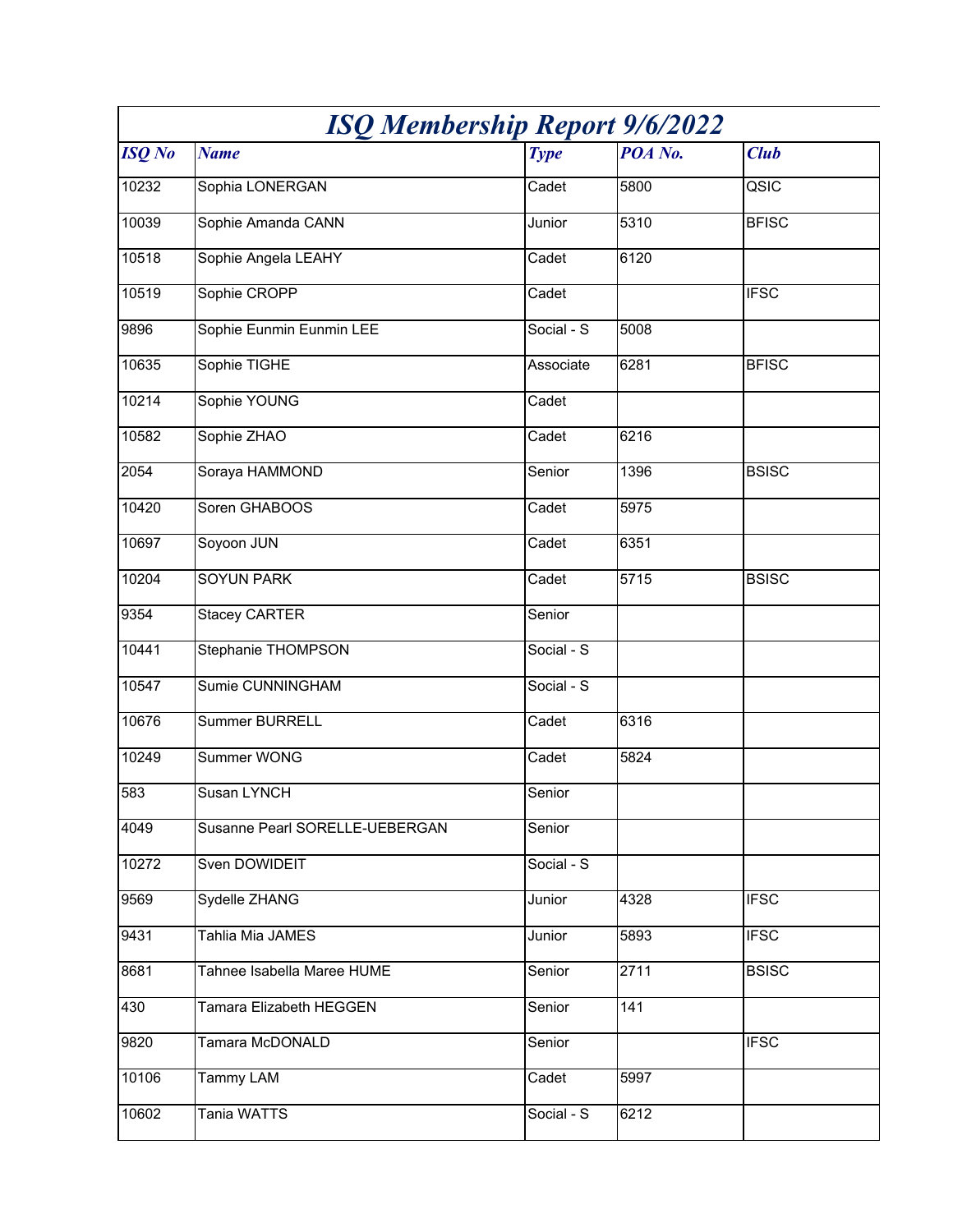| <b>ISQ Membership Report 9/6/2022</b> |                                |             |         |              |
|---------------------------------------|--------------------------------|-------------|---------|--------------|
| <b>ISQ</b> No                         | <b>Name</b>                    | <b>Type</b> | POA No. | <b>Club</b>  |
| 10232                                 | Sophia LONERGAN                | Cadet       | 5800    | QSIC         |
| 10039                                 | Sophie Amanda CANN             | Junior      | 5310    | <b>BFISC</b> |
| 10518                                 | Sophie Angela LEAHY            | Cadet       | 6120    |              |
| 10519                                 | Sophie CROPP                   | Cadet       |         | <b>IFSC</b>  |
| 9896                                  | Sophie Eunmin Eunmin LEE       | Social - S  | 5008    |              |
| 10635                                 | Sophie TIGHE                   | Associate   | 6281    | <b>BFISC</b> |
| 10214                                 | Sophie YOUNG                   | Cadet       |         |              |
| 10582                                 | Sophie ZHAO                    | Cadet       | 6216    |              |
| 2054                                  | Soraya HAMMOND                 | Senior      | 1396    | <b>BSISC</b> |
| 10420                                 | Soren GHABOOS                  | Cadet       | 5975    |              |
| 10697                                 | Soyoon JUN                     | Cadet       | 6351    |              |
| 10204                                 | <b>SOYUN PARK</b>              | Cadet       | 5715    | <b>BSISC</b> |
| 9354                                  | <b>Stacey CARTER</b>           | Senior      |         |              |
| 10441                                 | Stephanie THOMPSON             | Social - S  |         |              |
| 10547                                 | Sumie CUNNINGHAM               | Social - S  |         |              |
| 10676                                 | <b>Summer BURRELL</b>          | Cadet       | 6316    |              |
| 10249                                 | Summer WONG                    | Cadet       | 5824    |              |
| 583                                   | Susan LYNCH                    | Senior      |         |              |
| 4049                                  | Susanne Pearl SORELLE-UEBERGAN | Senior      |         |              |
| 10272                                 | Sven DOWIDEIT                  | Social - S  |         |              |
| 9569                                  | Sydelle ZHANG                  | Junior      | 4328    | <b>IFSC</b>  |
| 9431                                  | Tahlia Mia JAMES               | Junior      | 5893    | <b>IFSC</b>  |
| 8681                                  | Tahnee Isabella Maree HUME     | Senior      | 2711    | <b>BSISC</b> |
| 430                                   | Tamara Elizabeth HEGGEN        | Senior      | 141     |              |
| 9820                                  | Tamara McDONALD                | Senior      |         | <b>IFSC</b>  |
| 10106                                 | Tammy LAM                      | Cadet       | 5997    |              |
| 10602                                 | Tania WATTS                    | Social - S  | 6212    |              |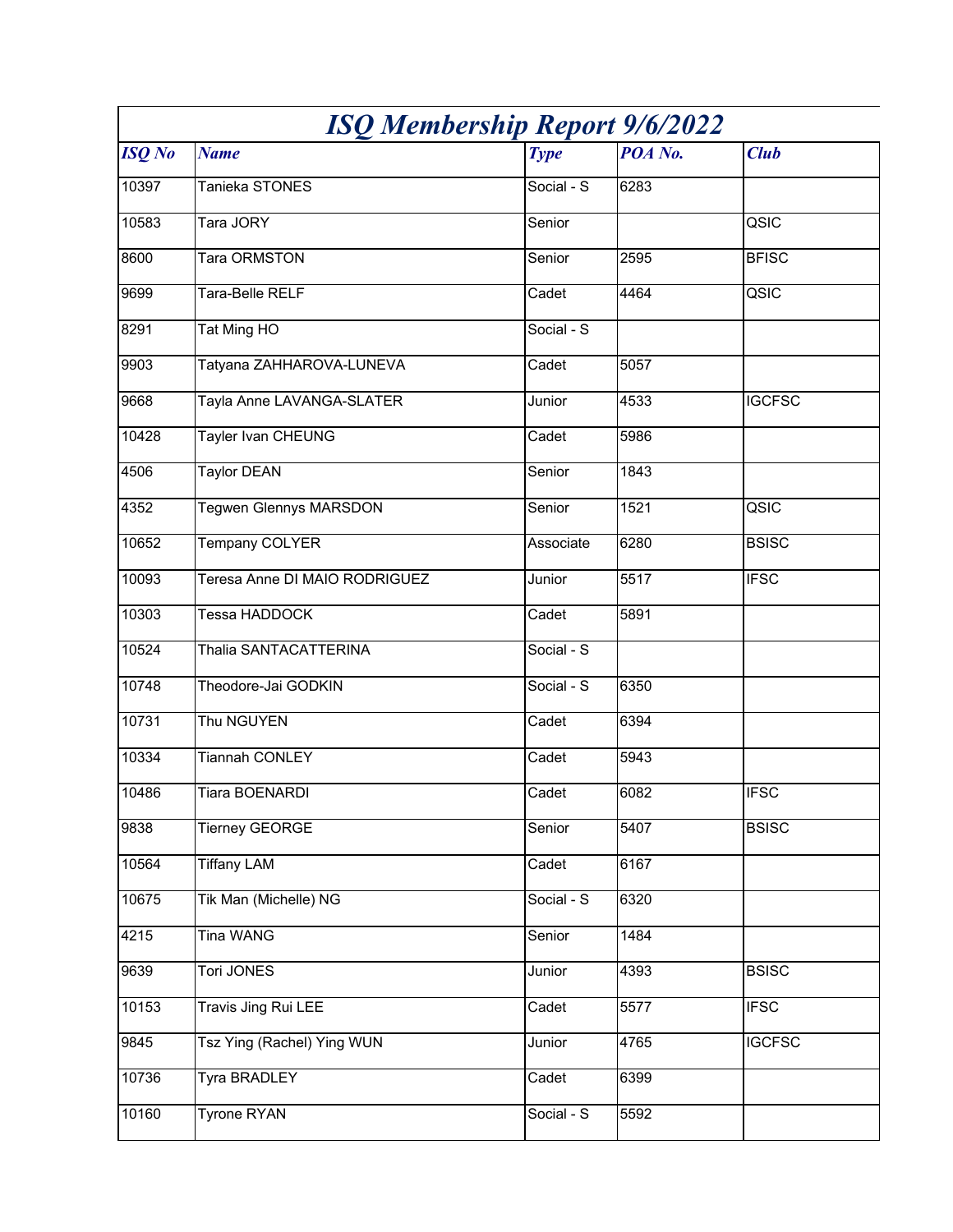| <b>ISQ Membership Report 9/6/2022</b> |                               |             |         |               |
|---------------------------------------|-------------------------------|-------------|---------|---------------|
| <b>ISQ</b> No                         | <b>Name</b>                   | <b>Type</b> | POA No. | <b>Club</b>   |
| 10397                                 | Tanieka STONES                | Social - S  | 6283    |               |
| 10583                                 | Tara JORY                     | Senior      |         | QSIC          |
| 8600                                  | Tara ORMSTON                  | Senior      | 2595    | <b>BFISC</b>  |
| 9699                                  | Tara-Belle RELF               | Cadet       | 4464    | QSIC          |
| 8291                                  | Tat Ming HO                   | Social - S  |         |               |
| 9903                                  | Tatyana ZAHHAROVA-LUNEVA      | Cadet       | 5057    |               |
| 9668                                  | Tayla Anne LAVANGA-SLATER     | Junior      | 4533    | <b>IGCFSC</b> |
| 10428                                 | Tayler Ivan CHEUNG            | Cadet       | 5986    |               |
| 4506                                  | Taylor DEAN                   | Senior      | 1843    |               |
| 4352                                  | <b>Tegwen Glennys MARSDON</b> | Senior      | 1521    | QSIC          |
| 10652                                 | Tempany COLYER                | Associate   | 6280    | <b>BSISC</b>  |
| 10093                                 | Teresa Anne DI MAIO RODRIGUEZ | Junior      | 5517    | <b>IFSC</b>   |
| 10303                                 | Tessa HADDOCK                 | Cadet       | 5891    |               |
| 10524                                 | Thalia SANTACATTERINA         | Social - S  |         |               |
| 10748                                 | Theodore-Jai GODKIN           | Social - S  | 6350    |               |
| 10731                                 | Thu NGUYEN                    | Cadet       | 6394    |               |
| 10334                                 | <b>Tiannah CONLEY</b>         | Cadet       | 5943    |               |
| 10486                                 | Tiara BOENARDI                | Cadet       | 6082    | <b>IFSC</b>   |
| 9838                                  | <b>Tierney GEORGE</b>         | Senior      | 5407    | <b>BSISC</b>  |
| 10564                                 | <b>Tiffany LAM</b>            | Cadet       | 6167    |               |
| 10675                                 | Tik Man (Michelle) NG         | Social - S  | 6320    |               |
| 4215                                  | Tina WANG                     | Senior      | 1484    |               |
| 9639                                  | <b>Tori JONES</b>             | Junior      | 4393    | <b>BSISC</b>  |
| 10153                                 | <b>Travis Jing Rui LEE</b>    | Cadet       | 5577    | <b>IFSC</b>   |
| 9845                                  | Tsz Ying (Rachel) Ying WUN    | Junior      | 4765    | <b>IGCFSC</b> |
| 10736                                 | Tyra BRADLEY                  | Cadet       | 6399    |               |
| 10160                                 | <b>Tyrone RYAN</b>            | Social - S  | 5592    |               |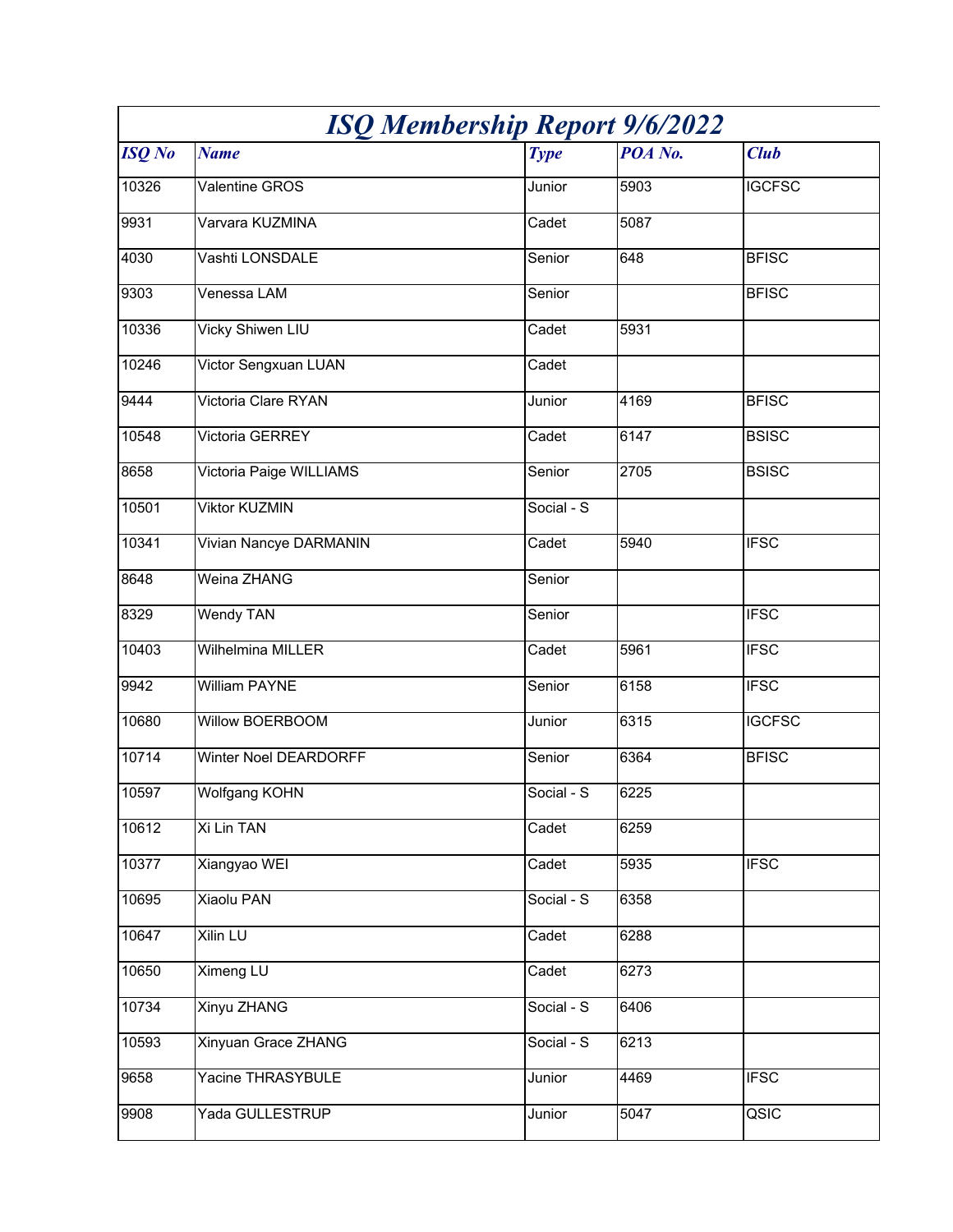| <b>ISQ Membership Report 9/6/2022</b> |                         |                     |         |                          |
|---------------------------------------|-------------------------|---------------------|---------|--------------------------|
| <b>ISQ</b> No                         | <b>Name</b>             | <b>Type</b>         | POA No. | <b>Club</b>              |
| 10326                                 | Valentine GROS          | Junior              | 5903    | <b>IGCFSC</b>            |
| 9931                                  | Varvara KUZMINA         | Cadet               | 5087    |                          |
| 4030                                  | Vashti LONSDALE         | Senior              | 648     | <b>BFISC</b>             |
| 9303                                  | Venessa LAM             | Senior              |         | <b>BFISC</b>             |
| 10336                                 | Vicky Shiwen LIU        | Cadet               | 5931    |                          |
| 10246                                 | Victor Sengxuan LUAN    | Cadet               |         |                          |
| 9444                                  | Victoria Clare RYAN     | Junior              | 4169    | <b>BFISC</b>             |
| 10548                                 | Victoria GERREY         | Cadet               | 6147    | <b>BSISC</b>             |
| 8658                                  | Victoria Paige WILLIAMS | Senior              | 2705    | <b>BSISC</b>             |
| 10501                                 | <b>Viktor KUZMIN</b>    | Social - S          |         |                          |
| 10341                                 | Vivian Nancye DARMANIN  | Cadet               | 5940    | <b>IFSC</b>              |
| 8648                                  | Weina ZHANG             | Senior              |         |                          |
| 8329                                  | <b>Wendy TAN</b>        | Senior              |         | <b>IFSC</b>              |
| 10403                                 | Wilhelmina MILLER       | Cadet               | 5961    | <b>IFSC</b>              |
| 9942                                  | <b>William PAYNE</b>    | Senior              | 6158    | <b>IFSC</b>              |
| 10680                                 | Willow BOERBOOM         | Junior              | 6315    | <b>IGCFSC</b>            |
| 10714                                 | Winter Noel DEARDORFF   | Senior              | 6364    | <b>BFISC</b>             |
| 10597                                 | Wolfgang KOHN           | Social - S          | 6225    |                          |
| 10612                                 | Xi Lin TAN              | $\overline{C}$ adet | 6259    |                          |
| 10377                                 | Xiangyao WEI            | Cadet               | 5935    | <b>IFSC</b>              |
| 10695                                 | <b>Xiaolu PAN</b>       | Social - S          | 6358    |                          |
| 10647                                 | Xilin LU                | Cadet               | 6288    |                          |
| 10650                                 | <b>Ximeng LU</b>        | Cadet               | 6273    |                          |
| 10734                                 | <b>Xinyu ZHANG</b>      | Social - S          | 6406    |                          |
| 10593                                 | Xinyuan Grace ZHANG     | Social - S          | 6213    |                          |
| 9658                                  | Yacine THRASYBULE       | Junior              | 4469    | <b>IFSC</b>              |
| 9908                                  | Yada GULLESTRUP         | Junior              | 5047    | $\overline{\text{QSIC}}$ |